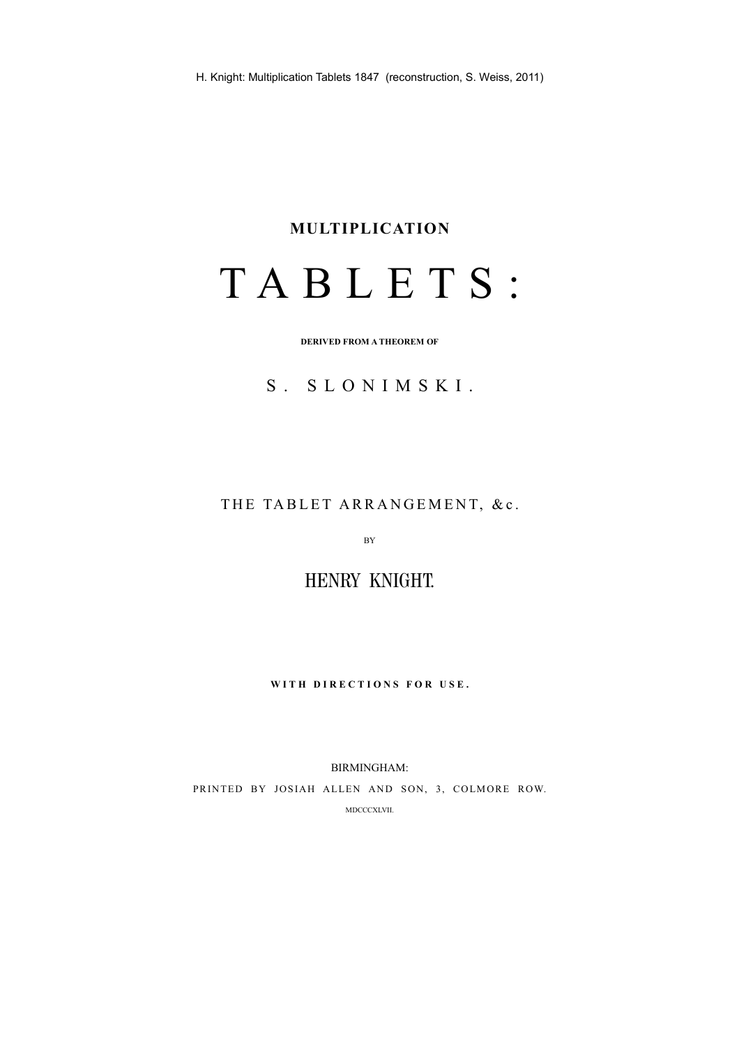#### **MULTIPLICATION**

# T A B L E T S :

**DERIVED FROM A THEOREM OF**

# S. SLONIMSKI.

THE TABLET ARRANGEMENT, &c.

BY

HENRY KNIGHT.

WITH DIRECTIONS FOR USE.

BIRMINGHAM: PRINTED BY JOSIAH ALLEN AND SON, 3, COLMORE ROW. MDCCCXLVII.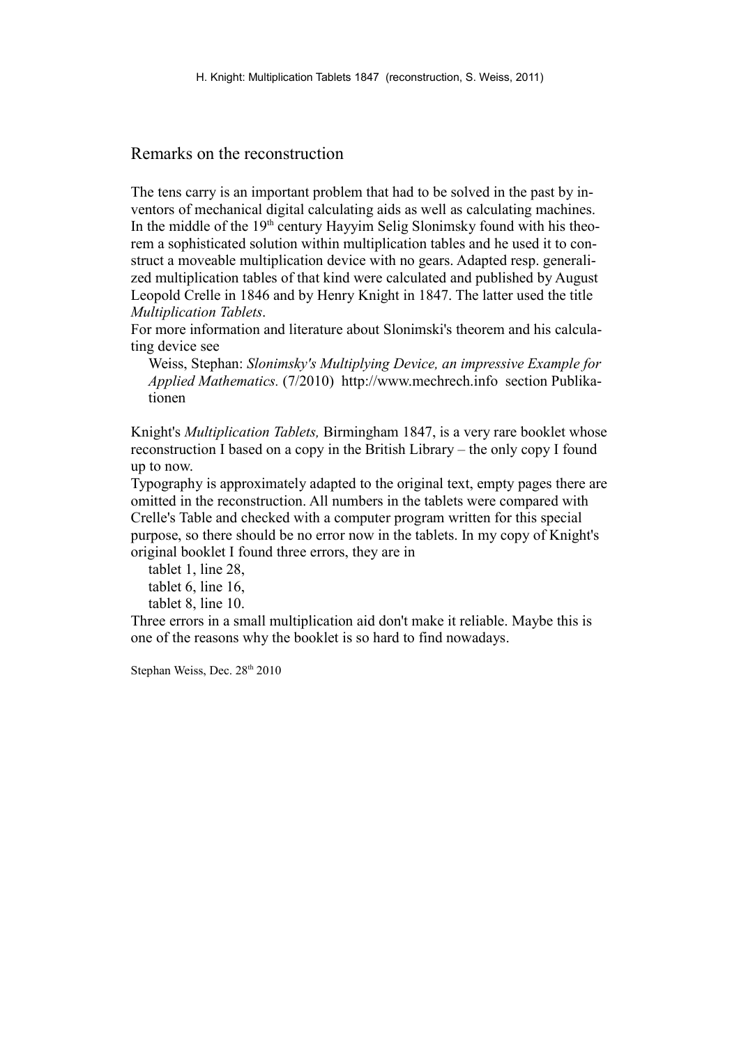#### Remarks on the reconstruction

The tens carry is an important problem that had to be solved in the past by inventors of mechanical digital calculating aids as well as calculating machines. In the middle of the  $19<sup>th</sup>$  century Hayyim Selig Slonimsky found with his theorem a sophisticated solution within multiplication tables and he used it to construct a moveable multiplication device with no gears. Adapted resp. generalized multiplication tables of that kind were calculated and published by August Leopold Crelle in 1846 and by Henry Knight in 1847. The latter used the title *Multiplication Tablets*.

For more information and literature about Slonimski's theorem and his calculating device see

Weiss, Stephan: *Slonimsky's Multiplying Device, an impressive Example for Applied Mathematics.* (7/2010) http://www.mechrech.info section Publikationen

Knight's *Multiplication Tablets,* Birmingham 1847, is a very rare booklet whose reconstruction I based on a copy in the British Library – the only copy I found up to now.

Typography is approximately adapted to the original text, empty pages there are omitted in the reconstruction. All numbers in the tablets were compared with Crelle's Table and checked with a computer program written for this special purpose, so there should be no error now in the tablets. In my copy of Knight's original booklet I found three errors, they are in

tablet 1, line 28, tablet 6, line 16, tablet 8, line 10.

Three errors in a small multiplication aid don't make it reliable. Maybe this is one of the reasons why the booklet is so hard to find nowadays.

Stephan Weiss, Dec. 28<sup>th</sup> 2010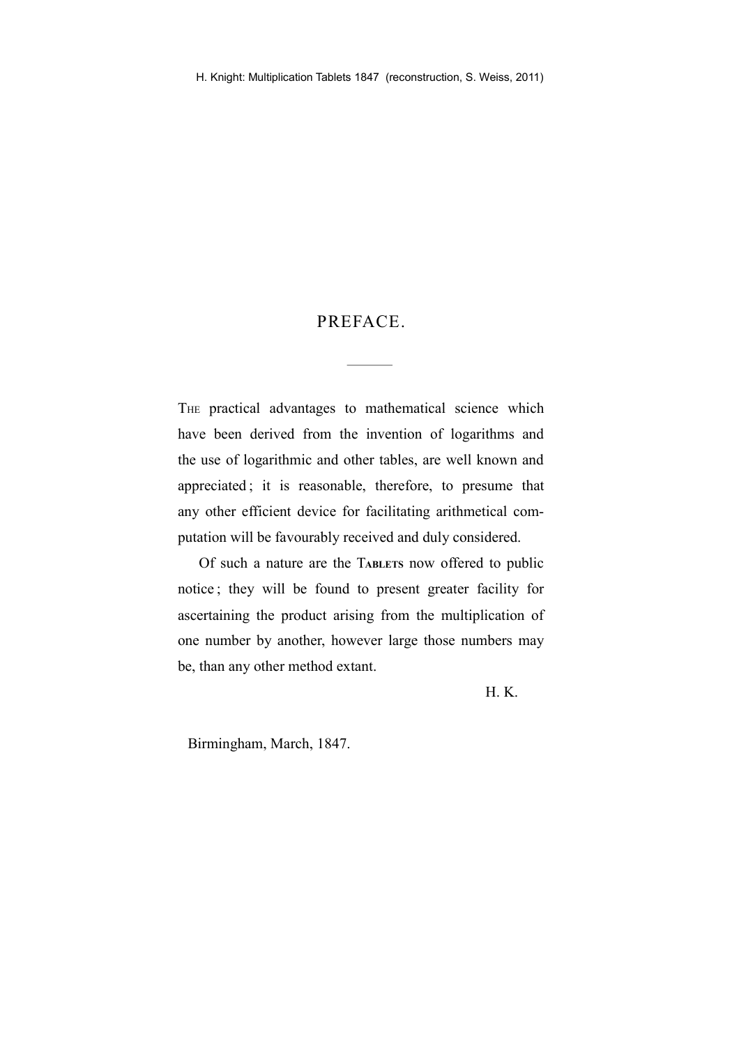### PREFACE.

THE practical advantages to mathematical science which have been derived from the invention of logarithms and the use of logarithmic and other tables, are well known and appreciated ; it is reasonable, therefore, to presume that any other efficient device for facilitating arithmetical computation will be favourably received and duly considered.

Of such a nature are the T**ABLETS** now offered to public notice ; they will be found to present greater facility for ascertaining the product arising from the multiplication of one number by another, however large those numbers may be, than any other method extant.

H. K.

Birmingham, March, 1847.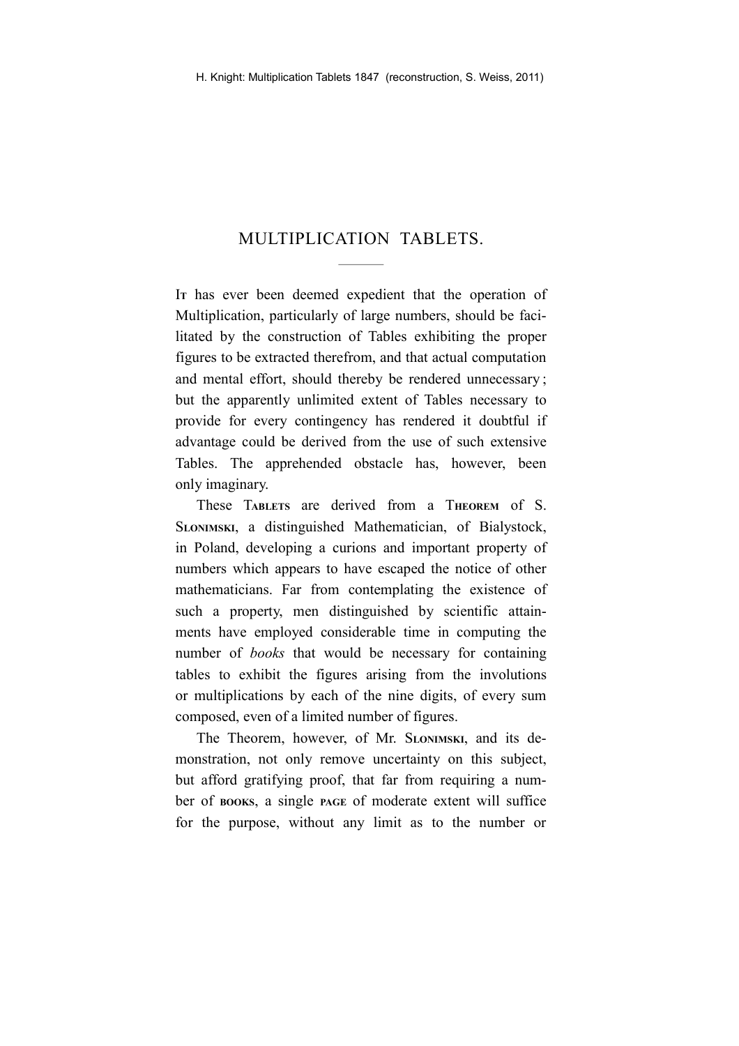## MULTIPLICATION TABLETS.

I**<sup>T</sup>** has ever been deemed expedient that the operation of Multiplication, particularly of large numbers, should be facilitated by the construction of Tables exhibiting the proper figures to be extracted therefrom, and that actual computation and mental effort, should thereby be rendered unnecessary ; but the apparently unlimited extent of Tables necessary to provide for every contingency has rendered it doubtful if advantage could be derived from the use of such extensive Tables. The apprehended obstacle has, however, been only imaginary.

These T**ABLETS** are derived from a T**HEOREM** of S. S**LONIMSKI**, a distinguished Mathematician, of Bialystock, in Poland, developing a curions and important property of numbers which appears to have escaped the notice of other mathematicians. Far from contemplating the existence of such a property, men distinguished by scientific attainments have employed considerable time in computing the number of *books* that would be necessary for containing tables to exhibit the figures arising from the involutions or multiplications by each of the nine digits, of every sum composed, even of a limited number of figures.

The Theorem, however, of Mr. S**LONIMSKI**, and its demonstration, not only remove uncertainty on this subject, but afford gratifying proof, that far from requiring a number of **BOOKS**, a single **PAGE** of moderate extent will suffice for the purpose, without any limit as to the number or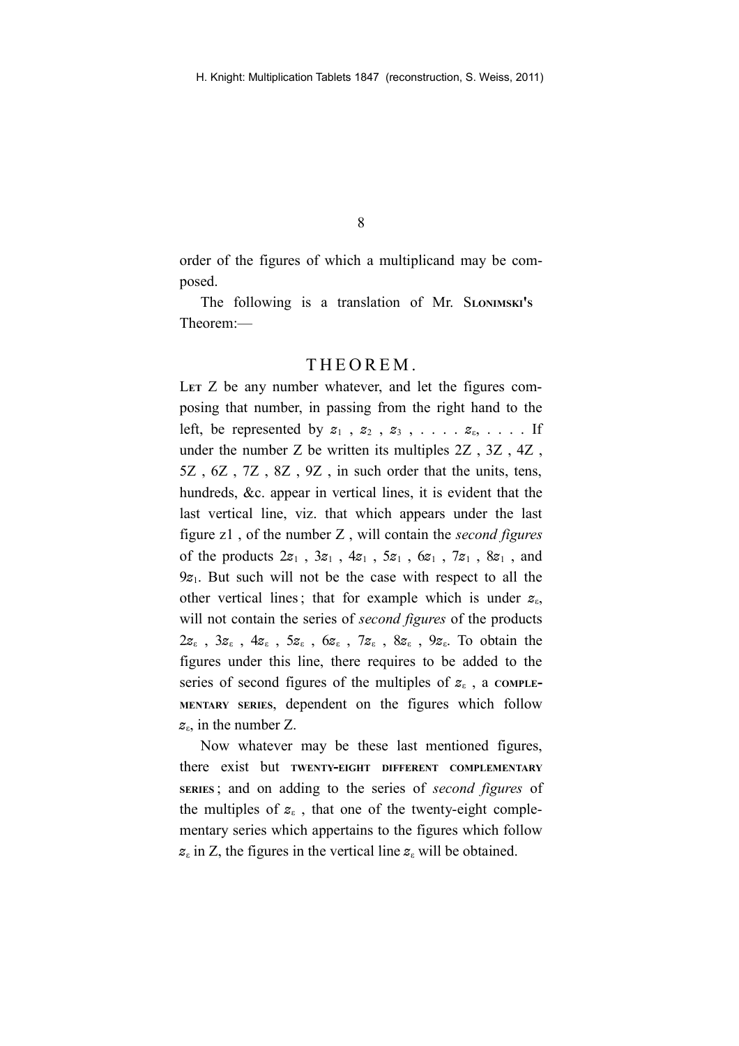order of the figures of which a multiplicand may be composed.

The following is a translation of Mr. S**LONIMSKI'<sup>S</sup>** Theorem:—

#### THEOREM.

LET Z be any number whatever, and let the figures composing that number, in passing from the right hand to the left, be represented by  $z_1$ ,  $z_2$ ,  $z_3$ , . . . .  $z_6$ , . . . . If under the number Z be written its multiples 2Z , 3Z , 4Z , 5Z , 6Z , 7Z , 8Z , 9Z , in such order that the units, tens, hundreds, &c. appear in vertical lines, it is evident that the last vertical line, viz. that which appears under the last figure z1 , of the number Z , will contain the *second figures* of the products 2*z*<sup>1</sup> , 3*z*<sup>1</sup> , 4*z*<sup>1</sup> , 5*z*<sup>1</sup> , 6*z*<sup>1</sup> , 7*z*<sup>1</sup> , 8*z*<sup>1</sup> , and 9*z*1. But such will not be the case with respect to all the other vertical lines; that for example which is under *z*ε, will not contain the series of *second figures* of the products 2*z*<sup>ε</sup> , 3*z*<sup>ε</sup> , 4*z*<sup>ε</sup> , 5*z*<sup>ε</sup> , 6*z*<sup>ε</sup> , 7*z*<sup>ε</sup> , 8*z*<sup>ε</sup> , 9*z*ε. To obtain the figures under this line, there requires to be added to the series of second figures of the multiples of *z*<sup>ε</sup> , a **COMPLE-MENTARY SERIES**, dependent on the figures which follow *z*ε, in the number Z.

Now whatever may be these last mentioned figures, there exist but **TWENTY-EIGHT DIFFERENT COMPLEMENTARY SERIES** ; and on adding to the series of *second figures* of the multiples of  $z_{\varepsilon}$ , that one of the twenty-eight complementary series which appertains to the figures which follow  $z_{\varepsilon}$  in Z, the figures in the vertical line  $z_{\varepsilon}$  will be obtained.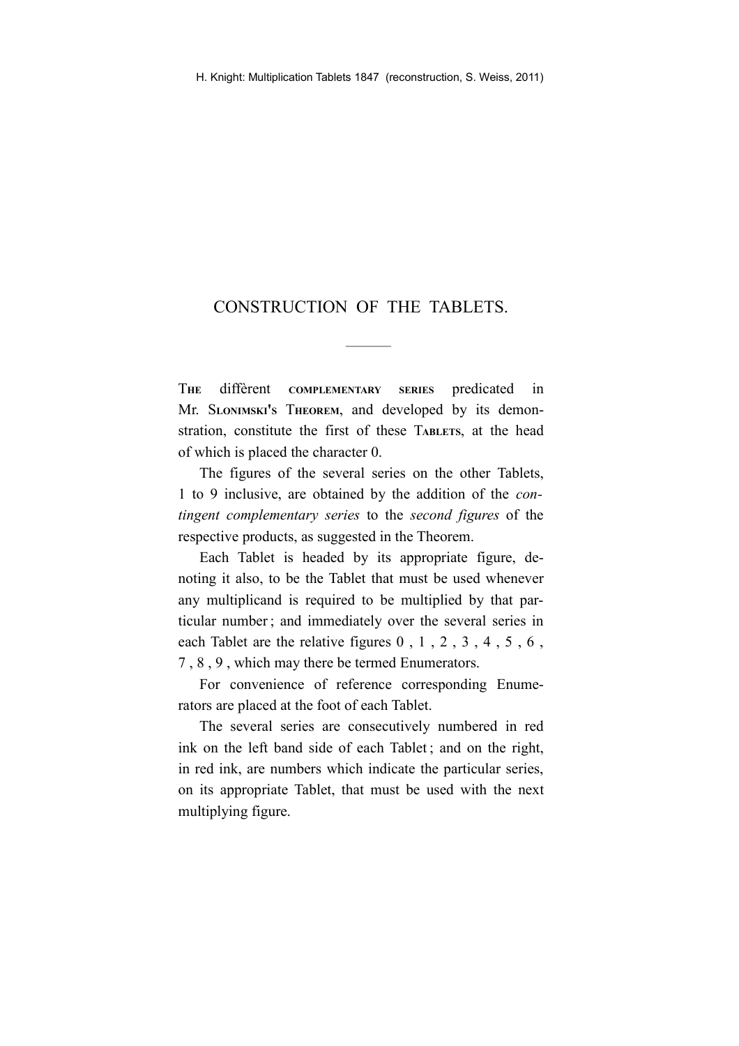#### CONSTRUCTION OF THE TABLETS.

T**HE** diffèrent **COMPLEMENTARY SERIES** predicated in Mr. S**LONIMSKI'<sup>S</sup>** T**HEOREM**, and developed by its demonstration, constitute the first of these T**ABLETS**, at the head of which is placed the character 0.

The figures of the several series on the other Tablets, 1 to 9 inclusive, are obtained by the addition of the *contingent complementary series* to the *second figures* of the respective products, as suggested in the Theorem.

Each Tablet is headed by its appropriate figure, denoting it also, to be the Tablet that must be used whenever any multiplicand is required to be multiplied by that particular number ; and immediately over the several series in each Tablet are the relative figures 0 , 1 , 2 , 3 , 4 , 5 , 6 , 7 , 8 , 9 , which may there be termed Enumerators.

For convenience of reference corresponding Enumerators are placed at the foot of each Tablet.

The several series are consecutively numbered in red ink on the left band side of each Tablet ; and on the right, in red ink, are numbers which indicate the particular series, on its appropriate Tablet, that must be used with the next multiplying figure.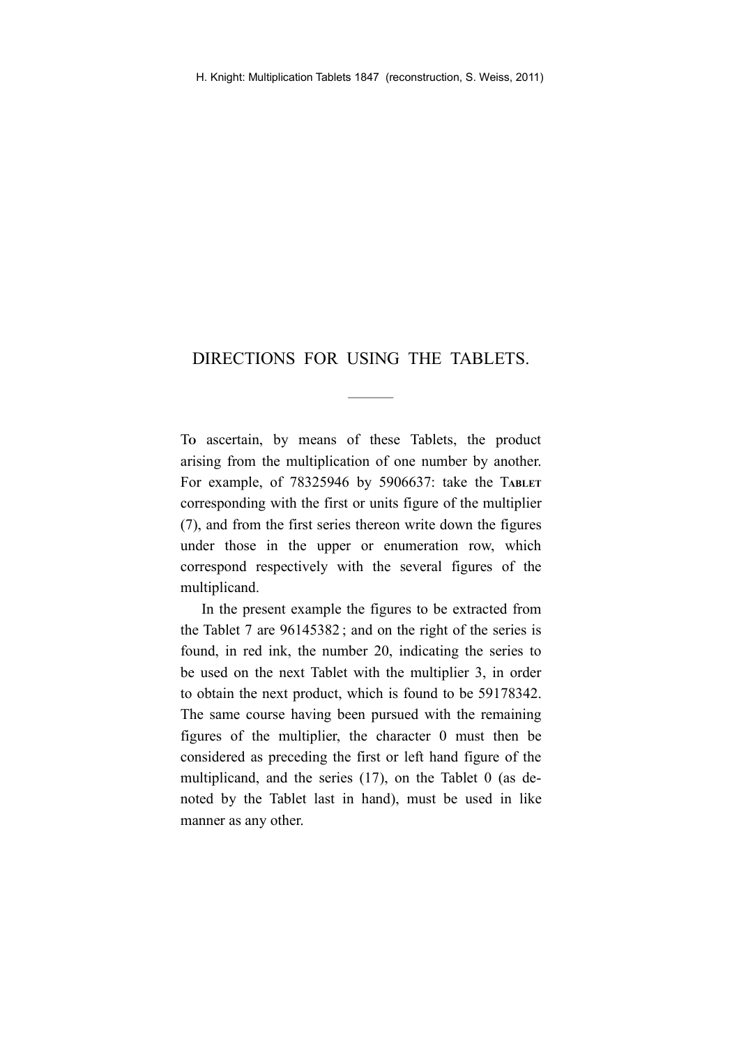## DIRECTIONS FOR USING THE TABLETS.

T**<sup>O</sup>** ascertain, by means of these Tablets, the product arising from the multiplication of one number by another. For example, of 78325946 by 5906637: take the T**ABLET** corresponding with the first or units figure of the multiplier (7), and from the first series thereon write down the figures under those in the upper or enumeration row, which correspond respectively with the several figures of the multiplicand.

In the present example the figures to be extracted from the Tablet 7 are 96145382 ; and on the right of the series is found, in red ink, the number 20, indicating the series to be used on the next Tablet with the multiplier 3, in order to obtain the next product, which is found to be 59178342. The same course having been pursued with the remaining figures of the multiplier, the character 0 must then be considered as preceding the first or left hand figure of the multiplicand, and the series (17), on the Tablet 0 (as denoted by the Tablet last in hand), must be used in like manner as any other.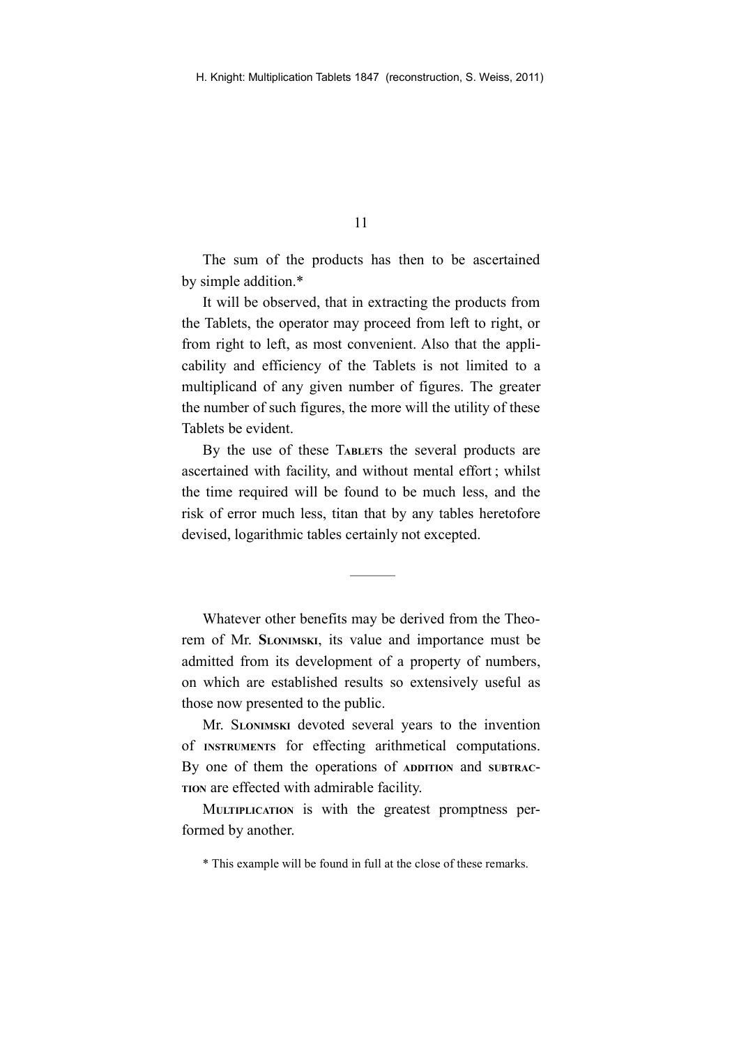The sum of the products has then to be ascertained by simple addition.\*

It will be observed, that in extracting the products from the Tablets, the operator may proceed from left to right, or from right to left, as most convenient. Also that the applicability and efficiency of the Tablets is not limited to a multiplicand of any given number of figures. The greater the number of such figures, the more will the utility of these Tablets be evident.

By the use of these T**ABLETS** the several products are ascertained with facility, and without mental effort ; whilst the time required will be found to be much less, and the risk of error much less, titan that by any tables heretofore devised, logarithmic tables certainly not excepted.

Whatever other benefits may be derived from the Theorem of Mr. **SLONIMSKI**, its value and importance must be admitted from its development of a property of numbers, on which are established results so extensively useful as those now presented to the public.

Mr. S**LONIMSKI** devoted several years to the invention of **INSTRUMENTS** for effecting arithmetical computations. By one of them the operations of **ADDITION** and **SUBTRAC**-**TION** are effected with admirable facility.

M**ULTIPLICATION** is with the greatest promptness performed by another.

<sup>\*</sup> This example will be found in full at the close of these remarks.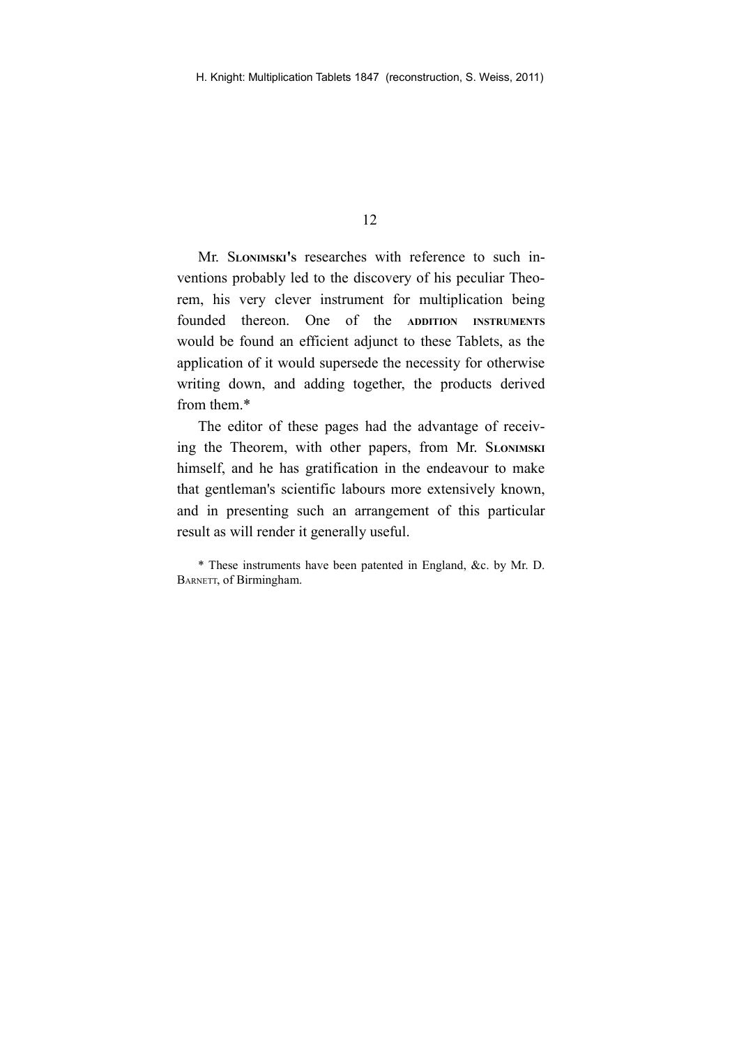Mr. S**LONIMSKI'<sup>S</sup>** researches with reference to such inventions probably led to the discovery of his peculiar Theorem, his very clever instrument for multiplication being founded thereon. One of the **ADDITION INSTRUMENTS** would be found an efficient adjunct to these Tablets, as the application of it would supersede the necessity for otherwise writing down, and adding together, the products derived from them.\*

The editor of these pages had the advantage of receiving the Theorem, with other papers, from Mr. S**LONIMSKI** himself, and he has gratification in the endeavour to make that gentleman's scientific labours more extensively known, and in presenting such an arrangement of this particular result as will render it generally useful.

\* These instruments have been patented in England, &c. by Mr. D. BARNETT, of Birmingham.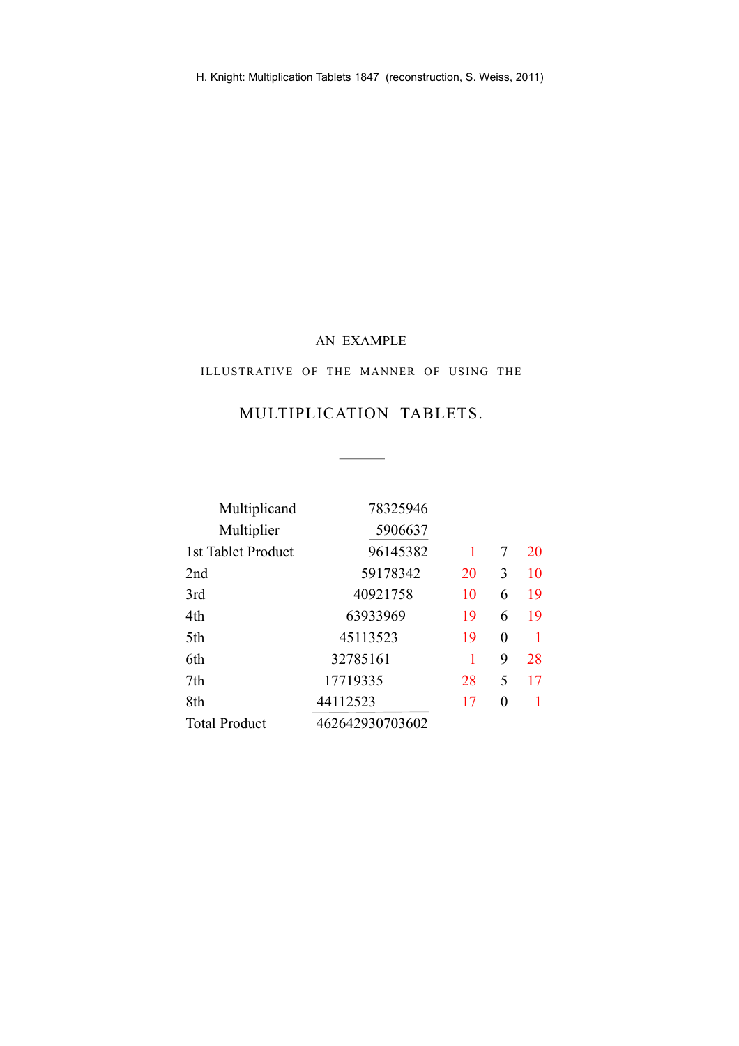#### AN EXAMPLE

#### ILLUSTRATIVE OF THE MANNER OF USING THE

## MULTIPLICATION TABLETS.

 $\overline{a}$ 

 $\overline{\phantom{a}}$ 

| Multiplicand         | 78325946        |    |   |    |
|----------------------|-----------------|----|---|----|
| Multiplier           | 5906637         |    |   |    |
| 1st Tablet Product   | 96145382        |    | 7 | 20 |
| 2nd                  | 59178342        | 20 | 3 | 10 |
| 3rd                  | 40921758        | 10 | 6 | 19 |
| 4th                  | 63933969        | 19 | 6 | 19 |
| 5th                  | 45113523        | 19 | 0 |    |
| 6th                  | 32785161        | 1  | 9 | 28 |
| 7th                  | 17719335        | 28 | 5 | 17 |
| 8th                  | 44112523        | 17 | 0 |    |
| <b>Total Product</b> | 462642930703602 |    |   |    |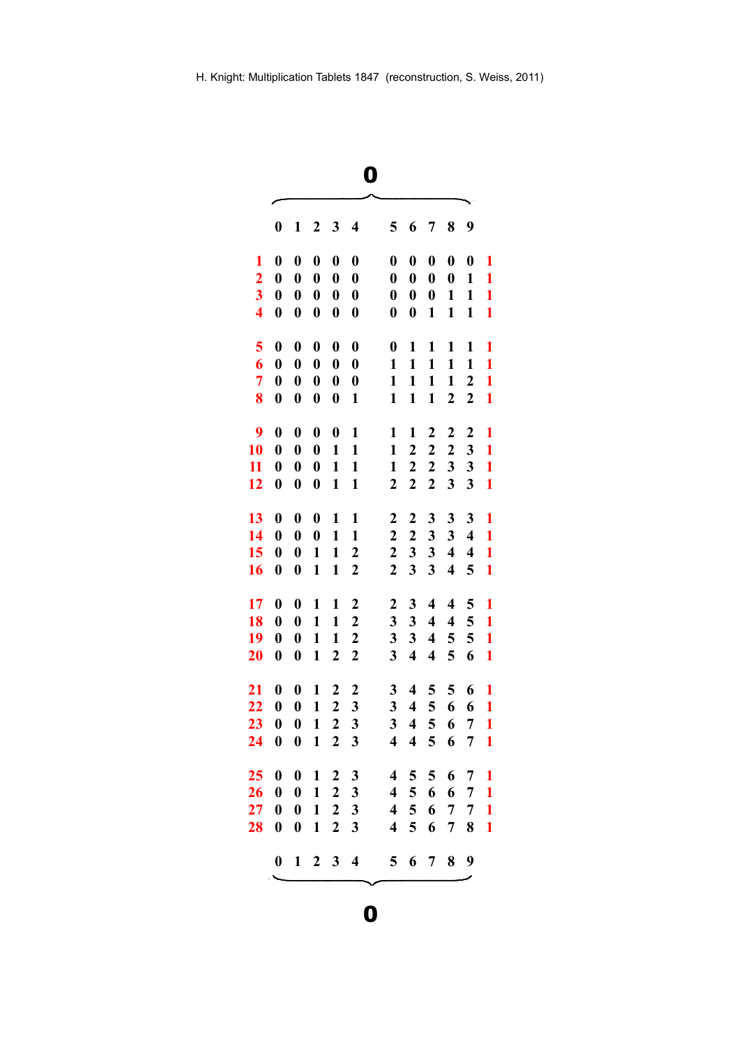|        | ٠                  |  |
|--------|--------------------|--|
| ×<br>× | I<br>I<br>۰.<br>۰. |  |

|                         | 0                | 1                | 2                | 3                | 4                | 5                       | 6                       | 7                       | 8                       | 9                       |              |
|-------------------------|------------------|------------------|------------------|------------------|------------------|-------------------------|-------------------------|-------------------------|-------------------------|-------------------------|--------------|
| 1                       | $\bf{0}$         | $\bf{0}$         | $\bf{0}$         | $\boldsymbol{0}$ | $\bf{0}$         | $\boldsymbol{0}$        | $\bf{0}$                | $\boldsymbol{0}$        | $\boldsymbol{0}$        | $\boldsymbol{0}$        | 1            |
| $\overline{\mathbf{c}}$ | $\boldsymbol{0}$ | $\boldsymbol{0}$ | $\boldsymbol{0}$ | $\boldsymbol{0}$ | $\boldsymbol{0}$ | $\boldsymbol{0}$        | $\boldsymbol{0}$        | $\boldsymbol{0}$        | $\boldsymbol{0}$        | 1                       | 1            |
| $\overline{\mathbf{3}}$ | $\boldsymbol{0}$ | $\boldsymbol{0}$ | $\boldsymbol{0}$ | $\boldsymbol{0}$ | $\boldsymbol{0}$ | $\boldsymbol{0}$        | $\boldsymbol{0}$        | $\boldsymbol{0}$        | $\mathbf{1}$            | 1                       | $\mathbf{1}$ |
| $\overline{\mathbf{4}}$ | $\boldsymbol{0}$ | $\boldsymbol{0}$ | $\boldsymbol{0}$ | $\boldsymbol{0}$ | $\boldsymbol{0}$ | $\boldsymbol{0}$        | $\boldsymbol{0}$        | 1                       | 1                       | $\mathbf{1}$            | 1            |
| 5                       | $\boldsymbol{0}$ | $\boldsymbol{0}$ | $\boldsymbol{0}$ | $\boldsymbol{0}$ | $\boldsymbol{0}$ | $\boldsymbol{0}$        | 1                       | 1                       | 1                       | 1                       | 1            |
| 6                       | $\boldsymbol{0}$ | $\boldsymbol{0}$ | $\boldsymbol{0}$ | $\boldsymbol{0}$ | $\boldsymbol{0}$ | 1                       | $\mathbf{1}$            | $\mathbf{1}$            | $\mathbf{1}$            | $\mathbf{1}$            | $\mathbf{1}$ |
| $\overline{7}$          | $\boldsymbol{0}$ | $\boldsymbol{0}$ | $\boldsymbol{0}$ | $\boldsymbol{0}$ | $\boldsymbol{0}$ | $\mathbf{1}$            | $\mathbf{1}$            | $\mathbf{1}$            | $\mathbf{1}$            | $\boldsymbol{2}$        | $\mathbf{1}$ |
| 8                       | $\boldsymbol{0}$ | $\boldsymbol{0}$ | $\boldsymbol{0}$ | $\boldsymbol{0}$ | $\mathbf{1}$     | 1                       | 1                       | 1                       | $\boldsymbol{2}$        | $\boldsymbol{2}$        | 1            |
| 9                       | $\boldsymbol{0}$ | $\bf{0}$         | $\boldsymbol{0}$ | $\boldsymbol{0}$ | 1                | $\mathbf{1}$            | 1                       | 2                       | $\boldsymbol{2}$        | 2                       | 1            |
| 10                      | $\boldsymbol{0}$ | $\boldsymbol{0}$ | $\boldsymbol{0}$ | $\mathbf{1}$     | $\mathbf{1}$     | 1                       | 2                       | $\boldsymbol{2}$        | $\boldsymbol{2}$        | 3                       | 1            |
| 11                      | $\boldsymbol{0}$ | $\boldsymbol{0}$ | $\boldsymbol{0}$ | $\mathbf{1}$     | $\mathbf{1}$     | 1                       | $\boldsymbol{2}$        | $\boldsymbol{2}$        | 3                       | 3                       | $\mathbf{1}$ |
| 12                      | $\boldsymbol{0}$ | $\boldsymbol{0}$ | $\boldsymbol{0}$ | 1                | 1                | $\boldsymbol{2}$        | $\boldsymbol{2}$        | $\boldsymbol{2}$        | $\mathbf{3}$            | 3                       | $\mathbf{1}$ |
| 13                      | $\boldsymbol{0}$ | $\boldsymbol{0}$ | $\boldsymbol{0}$ | 1                | 1                | 2                       | $\boldsymbol{2}$        | 3                       | 3                       | 3                       | 1            |
| 14                      | $\boldsymbol{0}$ | $\boldsymbol{0}$ | $\boldsymbol{0}$ | $\mathbf{1}$     | $\mathbf{1}$     | $\mathbf 2$             | $\boldsymbol{2}$        | $\mathbf{3}$            | $\mathbf{3}$            | $\overline{\mathbf{4}}$ | $\mathbf{1}$ |
| 15                      | $\boldsymbol{0}$ | $\boldsymbol{0}$ | $\mathbf{1}$     | $\mathbf{1}$     | $\boldsymbol{2}$ | $\mathbf 2$             | 3                       | 3                       | $\overline{\mathbf{4}}$ | $\boldsymbol{4}$        | $\mathbf{1}$ |
| 16                      | $\boldsymbol{0}$ | $\boldsymbol{0}$ | 1                | $\mathbf{1}$     | 2                | $\boldsymbol{2}$        | 3                       | $\overline{\mathbf{3}}$ | $\overline{\bf{4}}$     | 5                       | $\mathbf{1}$ |
| 17                      | $\boldsymbol{0}$ | $\boldsymbol{0}$ | 1                | 1                | 2                | $\mathbf{2}$            | 3                       | $\overline{\mathbf{4}}$ | $\overline{\mathbf{4}}$ | 5                       | $\mathbf{1}$ |
| 18                      | $\boldsymbol{0}$ | $\boldsymbol{0}$ | 1                | 1                | $\boldsymbol{2}$ | 3                       | 3                       | $\overline{\mathbf{4}}$ | $\overline{\mathbf{4}}$ | 5                       | $\mathbf{1}$ |
| 19                      | $\boldsymbol{0}$ | $\boldsymbol{0}$ | 1                | $\mathbf{1}$     | $\boldsymbol{2}$ | 3                       | 3                       | $\overline{\mathbf{4}}$ | 5                       | 5                       | $\mathbf{1}$ |
| 20                      | $\boldsymbol{0}$ | $\boldsymbol{0}$ | 1                | $\boldsymbol{2}$ | $\boldsymbol{2}$ | 3                       | $\overline{\mathbf{4}}$ | $\overline{\mathbf{4}}$ | 5                       | 6                       | $\mathbf{1}$ |
| 21                      | $\boldsymbol{0}$ | $\boldsymbol{0}$ | 1                | 2                | $\boldsymbol{2}$ | 3                       | $\overline{\mathbf{4}}$ | 5                       | 5                       | 6                       | 1            |
| 22                      | $\boldsymbol{0}$ | $\boldsymbol{0}$ | $\mathbf{1}$     | $\overline{2}$   | $\mathbf{3}$     | 3                       | $\overline{\mathbf{4}}$ | 5                       | 6                       | 6                       | $\mathbf{1}$ |
| 23                      | $\boldsymbol{0}$ | $\boldsymbol{0}$ | $\mathbf{1}$     | $\boldsymbol{2}$ | $\mathbf{3}$     | 3                       | $\overline{\mathbf{4}}$ | 5                       | 6                       | 7                       | $\mathbf{1}$ |
| 24                      | $\boldsymbol{0}$ | $\boldsymbol{0}$ | $\mathbf{1}$     | $\boldsymbol{2}$ | 3                | $\overline{\mathbf{4}}$ | $\overline{\mathbf{4}}$ | 5                       | 6                       | 7                       | $\mathbf{1}$ |
| 25                      | $\boldsymbol{0}$ | $\boldsymbol{0}$ | $\mathbf{1}$     | $\boldsymbol{2}$ | 3                | $\overline{\mathbf{4}}$ | 5                       | 5                       | 6                       | 7                       | 1            |
| 26                      | $\boldsymbol{0}$ | $\boldsymbol{0}$ | 1                | $\boldsymbol{2}$ | 3                | 4                       | 5 <sup>1</sup>          | 6                       | 6                       | 7                       | 1            |
| 27                      | $\boldsymbol{0}$ | $\boldsymbol{0}$ | $\mathbf{1}$     | $\boldsymbol{2}$ | 3                | $\overline{\mathbf{4}}$ | 5 <sup>1</sup>          | 6                       | $\overline{7}$          | 7                       | 1            |
| 28                      | $\boldsymbol{0}$ | $\boldsymbol{0}$ | $\mathbf{1}$     | $\overline{2}$   | 3                | $\overline{\mathbf{4}}$ | 5                       | 6                       | $\overline{7}$          | 8                       | 1            |
|                         | $\boldsymbol{0}$ |                  |                  | $1 \t2 \t3 \t4$  |                  |                         | 5 6 7 8                 |                         |                         | 9                       |              |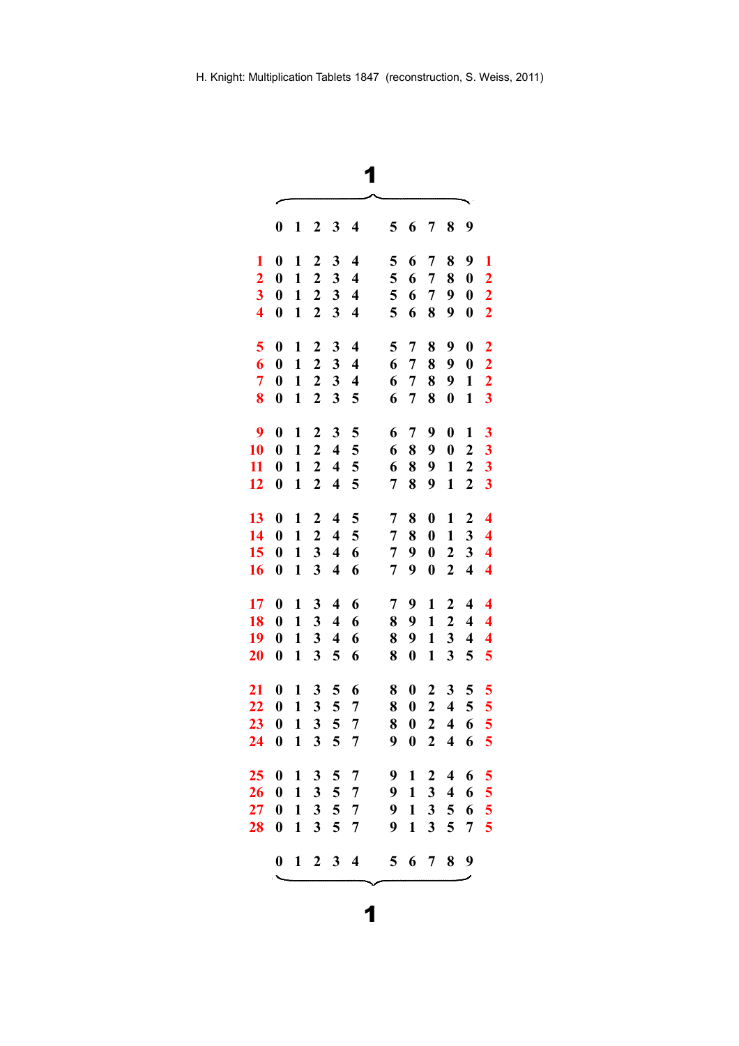|                         | $\boldsymbol{0}$ | 1            | $\boldsymbol{2}$        | 3                       | 4                       | 5              | 6                | 7                       | 8                       | 9                       |                         |  |
|-------------------------|------------------|--------------|-------------------------|-------------------------|-------------------------|----------------|------------------|-------------------------|-------------------------|-------------------------|-------------------------|--|
| 1                       | $\boldsymbol{0}$ | 1            | $\boldsymbol{2}$        | 3                       | $\overline{\mathbf{4}}$ | 5              | 6                | 7                       | 8                       | 9                       | 1                       |  |
| $\overline{2}$          | $\boldsymbol{0}$ | $\mathbf{1}$ | $\overline{2}$          | 3                       | $\overline{\mathbf{4}}$ | 5              | 6                | 7                       | 8                       | $\boldsymbol{0}$        | $\overline{2}$          |  |
| $\overline{\mathbf{3}}$ | $\boldsymbol{0}$ | $\mathbf{1}$ | $\boldsymbol{2}$        | $\mathbf{3}$            | $\overline{\mathbf{4}}$ | 5              | 6                | $\overline{7}$          | 9                       | $\boldsymbol{0}$        | $\overline{\mathbf{2}}$ |  |
| $\overline{\mathbf{4}}$ | $\boldsymbol{0}$ | $\mathbf{1}$ | $\boldsymbol{2}$        | $\overline{\mathbf{3}}$ | $\overline{\mathbf{4}}$ | 5              | 6                | 8                       | 9                       | $\boldsymbol{0}$        | $\overline{2}$          |  |
| 5                       | $\boldsymbol{0}$ | 1            | $\mathbf{2}$            | 3                       | $\overline{\mathbf{4}}$ | 5              | $\overline{7}$   | 8                       | 9                       | $\boldsymbol{0}$        | $\overline{2}$          |  |
| 6                       | $\boldsymbol{0}$ | $\mathbf{1}$ | $\boldsymbol{2}$        | 3                       | $\overline{\mathbf{4}}$ | 6              | 7                | 8                       | 9                       | $\boldsymbol{0}$        | $\overline{2}$          |  |
| $\overline{7}$          | $\boldsymbol{0}$ | $\mathbf{1}$ | $\overline{2}$          | 3                       | $\overline{\mathbf{4}}$ | 6              | 7                | 8                       | 9                       | $\mathbf{1}$            | $\overline{\mathbf{2}}$ |  |
| 8                       | $\boldsymbol{0}$ | $\mathbf{1}$ | $\boldsymbol{2}$        | 3                       | 5                       | 6              | 7                | 8                       | $\boldsymbol{0}$        | $\mathbf{1}$            | 3                       |  |
| $\boldsymbol{9}$        | $\boldsymbol{0}$ | 1            | $\mathbf 2$             | 3                       | 5                       | 6              | 7                | 9                       | $\boldsymbol{0}$        | 1                       | 3                       |  |
| 10                      | $\boldsymbol{0}$ | $\mathbf{1}$ | $\boldsymbol{2}$        | $\overline{\mathbf{4}}$ | 5                       | 6              | 8                | 9                       | $\boldsymbol{0}$        | $\boldsymbol{2}$        | 3                       |  |
| 11                      | $\boldsymbol{0}$ | $\mathbf{1}$ | $\boldsymbol{2}$        | $\overline{\mathbf{4}}$ | 5                       | 6              | 8                | 9                       | $\mathbf{1}$            | $\boldsymbol{2}$        | 3                       |  |
| 12                      | $\boldsymbol{0}$ | $\mathbf{1}$ | $\boldsymbol{2}$        | $\overline{\mathbf{4}}$ | 5                       | 7              | 8                | 9                       | $\mathbf{1}$            | $\overline{2}$          | 3                       |  |
| 13                      | $\boldsymbol{0}$ | 1            | $\boldsymbol{2}$        | $\overline{\mathbf{4}}$ | 5                       | 7              | 8                | $\boldsymbol{0}$        | 1                       | $\boldsymbol{2}$        | $\overline{\mathbf{4}}$ |  |
| 14                      | $\boldsymbol{0}$ | $\mathbf{1}$ | $\overline{2}$          | $\overline{\mathbf{4}}$ | 5                       | 7              | 8                | $\boldsymbol{0}$        | $\mathbf{1}$            | 3                       | $\overline{\mathbf{4}}$ |  |
| 15                      | $\boldsymbol{0}$ | $\mathbf{1}$ | $\overline{\mathbf{3}}$ | $\overline{\mathbf{4}}$ | 6                       | 7              | 9                | $\boldsymbol{0}$        | $\boldsymbol{2}$        | 3                       | 4                       |  |
| 16                      | $\boldsymbol{0}$ | $\mathbf{1}$ | 3                       | $\overline{\mathbf{4}}$ | 6                       | 7              | 9                | $\boldsymbol{0}$        | $\boldsymbol{2}$        | $\overline{\mathbf{4}}$ | $\overline{\mathbf{4}}$ |  |
| 17                      | $\boldsymbol{0}$ | 1            | 3                       | $\overline{\mathbf{4}}$ | 6                       | 7              | 9                | $\mathbf{1}$            | $\boldsymbol{2}$        | $\overline{\mathbf{4}}$ | $\overline{\mathbf{4}}$ |  |
| 18                      | $\boldsymbol{0}$ | $\mathbf{1}$ | 3                       | 4                       | 6                       | 8              | 9                | $\mathbf{1}$            | $\boldsymbol{2}$        | $\overline{\mathbf{4}}$ | $\overline{\mathbf{4}}$ |  |
| 19                      | $\boldsymbol{0}$ | $\mathbf{1}$ | 3                       | $\overline{\mathbf{4}}$ | 6                       | 8              | 9                | $\mathbf{1}$            | 3                       | $\overline{\mathbf{4}}$ | $\overline{\mathbf{4}}$ |  |
| 20                      | $\boldsymbol{0}$ | $\mathbf{1}$ | 3                       | 5                       | 6                       | 8              | $\boldsymbol{0}$ | $\mathbf{1}$            | $\overline{\mathbf{3}}$ | 5                       | 5                       |  |
| $\overline{21}$         | $\boldsymbol{0}$ | 1            | 3                       | 5                       | 6                       | 8              | $\boldsymbol{0}$ | $\boldsymbol{2}$        | 3                       | 5                       | 5                       |  |
| 22                      | $\boldsymbol{0}$ | $\mathbf{1}$ | 3                       | 5                       | 7                       | 8              | $\bf{0}$         | $\overline{2}$          | $\overline{\mathbf{4}}$ | 5                       | 5                       |  |
| 23                      | $\boldsymbol{0}$ | 1            | $\mathbf{3}$            | 5                       | 7                       | 8              | $\boldsymbol{0}$ | $\boldsymbol{2}$        | $\overline{\mathbf{4}}$ | 6                       | 5                       |  |
| 24                      | $\boldsymbol{0}$ | $\mathbf{1}$ | 3                       | 5                       | 7                       | 9              | $\boldsymbol{0}$ | $\boldsymbol{2}$        | $\overline{\mathbf{4}}$ | 6                       | 5                       |  |
| 25                      | $\boldsymbol{0}$ | 1            | $\mathbf{3}$            | 5                       | $\overline{7}$          | 9              | 1                | $\boldsymbol{2}$        | $\overline{\mathbf{4}}$ | 6                       | 5                       |  |
| 26                      | $\boldsymbol{0}$ | $\mathbf{1}$ | $\mathbf{3}$            | 5                       | $\overline{7}$          | 9              | $\mathbf{1}$     | 3                       | $\overline{\mathbf{4}}$ | 6                       | 5                       |  |
| $\overline{27}$         | $\boldsymbol{0}$ | $\mathbf{1}$ | $\mathbf{3}$            | 5                       | $\overline{7}$          | 9              | $\mathbf{1}$     | $\mathbf{3}$            | 5                       | 6                       | 5                       |  |
| 28                      | $\boldsymbol{0}$ | $\mathbf{1}$ | 3                       | 5                       | 7                       | 9              | $\mathbf{1}$     | $\overline{\mathbf{3}}$ | 5                       | 7                       | 5                       |  |
|                         | $\boldsymbol{0}$ |              | $1\quad 2\quad 3$       |                         | $\overline{\mathbf{4}}$ | 5 <sup>5</sup> |                  | 6 <sub>7</sub>          | 8                       | 9                       |                         |  |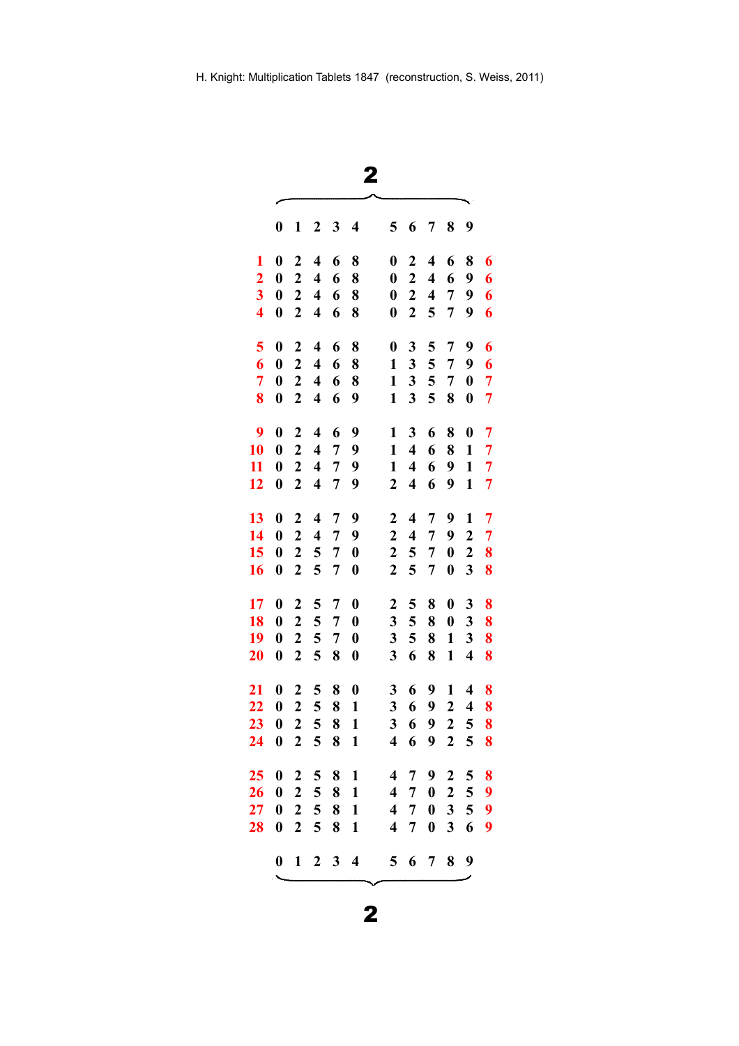| ×.          |  |
|-------------|--|
| I<br>I<br>I |  |
|             |  |

| 0<br>$\boldsymbol{0}$<br>$\boldsymbol{0}$<br>$\boldsymbol{0}$<br>$\boldsymbol{0}$<br>$\boldsymbol{0}$<br>$\boldsymbol{0}$<br>$\boldsymbol{0}$<br>$\boldsymbol{0}$<br>$\boldsymbol{0}$<br>$\boldsymbol{0}$<br>$\boldsymbol{0}$ | 1<br>$\overline{2}$<br>$\mathbf{2}$<br>$\boldsymbol{2}$<br>$\boldsymbol{2}$<br>$\overline{2}$<br>$\boldsymbol{2}$<br>$\overline{2}$<br>$\overline{2}$<br>$\overline{2}$ | 2<br>$\overline{\mathbf{4}}$<br>$\overline{\mathbf{4}}$<br>$\overline{\mathbf{4}}$<br>4<br>$\overline{\mathbf{4}}$<br>$\overline{\mathbf{4}}$<br>$\overline{\mathbf{4}}$<br>$\overline{\mathbf{4}}$ | 3<br>6<br>6<br>6<br>6<br>6<br>6<br>6<br>6      | $\overline{\mathbf{4}}$<br>8<br>8<br>8<br>8<br>8<br>8<br>8                 | 5<br>0<br>$\boldsymbol{0}$<br>$\boldsymbol{0}$<br>$\boldsymbol{0}$<br>$\boldsymbol{0}$<br>$\mathbf{1}$                                                       | 6<br>$\overline{2}$<br>$\boldsymbol{2}$<br>$\boldsymbol{2}$<br>$\boldsymbol{2}$<br>3               | 7<br>$\overline{\mathbf{4}}$<br>$\overline{\mathbf{4}}$<br>$\overline{\mathbf{4}}$<br>5<br>5 | 8<br>6<br>6<br>7<br>7<br>7                                                          | 9<br>8<br>9<br>9<br>9<br>9                                                                                                                                                                                  | 6<br>6<br>6<br>6<br>6                                           |
|-------------------------------------------------------------------------------------------------------------------------------------------------------------------------------------------------------------------------------|-------------------------------------------------------------------------------------------------------------------------------------------------------------------------|-----------------------------------------------------------------------------------------------------------------------------------------------------------------------------------------------------|------------------------------------------------|----------------------------------------------------------------------------|--------------------------------------------------------------------------------------------------------------------------------------------------------------|----------------------------------------------------------------------------------------------------|----------------------------------------------------------------------------------------------|-------------------------------------------------------------------------------------|-------------------------------------------------------------------------------------------------------------------------------------------------------------------------------------------------------------|-----------------------------------------------------------------|
|                                                                                                                                                                                                                               |                                                                                                                                                                         |                                                                                                                                                                                                     |                                                |                                                                            |                                                                                                                                                              |                                                                                                    |                                                                                              |                                                                                     |                                                                                                                                                                                                             |                                                                 |
|                                                                                                                                                                                                                               |                                                                                                                                                                         |                                                                                                                                                                                                     |                                                |                                                                            |                                                                                                                                                              |                                                                                                    |                                                                                              |                                                                                     |                                                                                                                                                                                                             |                                                                 |
|                                                                                                                                                                                                                               |                                                                                                                                                                         |                                                                                                                                                                                                     |                                                |                                                                            |                                                                                                                                                              |                                                                                                    |                                                                                              |                                                                                     |                                                                                                                                                                                                             |                                                                 |
|                                                                                                                                                                                                                               |                                                                                                                                                                         |                                                                                                                                                                                                     |                                                |                                                                            |                                                                                                                                                              |                                                                                                    |                                                                                              |                                                                                     |                                                                                                                                                                                                             |                                                                 |
|                                                                                                                                                                                                                               |                                                                                                                                                                         |                                                                                                                                                                                                     |                                                |                                                                            |                                                                                                                                                              |                                                                                                    |                                                                                              |                                                                                     |                                                                                                                                                                                                             |                                                                 |
|                                                                                                                                                                                                                               |                                                                                                                                                                         |                                                                                                                                                                                                     |                                                |                                                                            |                                                                                                                                                              |                                                                                                    |                                                                                              |                                                                                     |                                                                                                                                                                                                             |                                                                 |
|                                                                                                                                                                                                                               |                                                                                                                                                                         |                                                                                                                                                                                                     |                                                |                                                                            |                                                                                                                                                              |                                                                                                    |                                                                                              |                                                                                     |                                                                                                                                                                                                             |                                                                 |
|                                                                                                                                                                                                                               |                                                                                                                                                                         |                                                                                                                                                                                                     |                                                |                                                                            |                                                                                                                                                              | 3                                                                                                  | 5                                                                                            | $\overline{7}$                                                                      | 9                                                                                                                                                                                                           | 6                                                               |
|                                                                                                                                                                                                                               |                                                                                                                                                                         |                                                                                                                                                                                                     |                                                |                                                                            | $\mathbf{1}$                                                                                                                                                 | 3                                                                                                  | 5                                                                                            | 7                                                                                   | $\boldsymbol{0}$                                                                                                                                                                                            | 7                                                               |
|                                                                                                                                                                                                                               |                                                                                                                                                                         |                                                                                                                                                                                                     |                                                | 9                                                                          | $\mathbf{1}$                                                                                                                                                 | 3                                                                                                  | 5                                                                                            | 8                                                                                   | $\boldsymbol{0}$                                                                                                                                                                                            | 7                                                               |
|                                                                                                                                                                                                                               |                                                                                                                                                                         | $\overline{\mathbf{4}}$                                                                                                                                                                             | 6                                              | 9                                                                          | 1                                                                                                                                                            | 3                                                                                                  | 6                                                                                            | 8                                                                                   | $\boldsymbol{0}$                                                                                                                                                                                            | $\overline{7}$                                                  |
|                                                                                                                                                                                                                               | $\overline{2}$                                                                                                                                                          | $\overline{\mathbf{4}}$                                                                                                                                                                             | 7                                              | 9                                                                          | 1                                                                                                                                                            | $\overline{\mathbf{4}}$                                                                            | 6                                                                                            | 8                                                                                   | $\mathbf{1}$                                                                                                                                                                                                | $\overline{7}$                                                  |
|                                                                                                                                                                                                                               | $\overline{2}$                                                                                                                                                          | $\overline{\mathbf{4}}$                                                                                                                                                                             | 7                                              | 9                                                                          | $\mathbf{1}$                                                                                                                                                 | $\overline{\mathbf{4}}$                                                                            | 6                                                                                            | 9                                                                                   | $\mathbf{1}$                                                                                                                                                                                                | 7                                                               |
| $\boldsymbol{0}$                                                                                                                                                                                                              | $\boldsymbol{2}$                                                                                                                                                        | $\overline{\mathbf{4}}$                                                                                                                                                                             | $\overline{7}$                                 | 9                                                                          | $\boldsymbol{2}$                                                                                                                                             | $\overline{\mathbf{4}}$                                                                            | 6                                                                                            | 9                                                                                   | $\mathbf{1}$                                                                                                                                                                                                | 7                                                               |
|                                                                                                                                                                                                                               |                                                                                                                                                                         |                                                                                                                                                                                                     |                                                |                                                                            |                                                                                                                                                              |                                                                                                    |                                                                                              |                                                                                     |                                                                                                                                                                                                             |                                                                 |
| $\boldsymbol{0}$                                                                                                                                                                                                              | $\overline{2}$                                                                                                                                                          | $\overline{\mathbf{4}}$                                                                                                                                                                             | 7                                              | 9                                                                          | $\overline{2}$                                                                                                                                               | $\overline{\mathbf{4}}$                                                                            | 7                                                                                            | 9                                                                                   | $\mathbf{1}$                                                                                                                                                                                                | $\overline{7}$                                                  |
| $\boldsymbol{0}$                                                                                                                                                                                                              | $\mathbf{2}$                                                                                                                                                            | $\overline{\mathbf{4}}$                                                                                                                                                                             | 7                                              | 9                                                                          | $\mathbf{2}$                                                                                                                                                 | $\overline{\mathbf{4}}$                                                                            | 7                                                                                            | 9                                                                                   | $\boldsymbol{2}$                                                                                                                                                                                            | 7                                                               |
| $\boldsymbol{0}$                                                                                                                                                                                                              | $\overline{2}$                                                                                                                                                          | 5                                                                                                                                                                                                   | 7                                              | $\boldsymbol{0}$                                                           | 2                                                                                                                                                            | 5                                                                                                  | 7                                                                                            | $\boldsymbol{0}$                                                                    | 2                                                                                                                                                                                                           | 8                                                               |
| $\boldsymbol{0}$                                                                                                                                                                                                              | $\overline{2}$                                                                                                                                                          | 5                                                                                                                                                                                                   | 7                                              | $\bf{0}$                                                                   | $\overline{2}$                                                                                                                                               | 5                                                                                                  | $\overline{7}$                                                                               | $\boldsymbol{0}$                                                                    | 3                                                                                                                                                                                                           | 8                                                               |
|                                                                                                                                                                                                                               |                                                                                                                                                                         |                                                                                                                                                                                                     |                                                |                                                                            |                                                                                                                                                              |                                                                                                    |                                                                                              |                                                                                     |                                                                                                                                                                                                             | 8                                                               |
|                                                                                                                                                                                                                               |                                                                                                                                                                         |                                                                                                                                                                                                     |                                                |                                                                            |                                                                                                                                                              |                                                                                                    |                                                                                              |                                                                                     |                                                                                                                                                                                                             | 8                                                               |
|                                                                                                                                                                                                                               |                                                                                                                                                                         |                                                                                                                                                                                                     |                                                |                                                                            |                                                                                                                                                              |                                                                                                    |                                                                                              |                                                                                     |                                                                                                                                                                                                             | 8                                                               |
| $\boldsymbol{0}$                                                                                                                                                                                                              | $\boldsymbol{2}$                                                                                                                                                        | 5                                                                                                                                                                                                   | 8                                              | $\boldsymbol{0}$                                                           | 3                                                                                                                                                            | 6                                                                                                  | 8                                                                                            | $\mathbf{1}$                                                                        | $\overline{\mathbf{4}}$                                                                                                                                                                                     | 8                                                               |
|                                                                                                                                                                                                                               |                                                                                                                                                                         |                                                                                                                                                                                                     |                                                |                                                                            |                                                                                                                                                              |                                                                                                    |                                                                                              |                                                                                     |                                                                                                                                                                                                             | 8                                                               |
|                                                                                                                                                                                                                               |                                                                                                                                                                         |                                                                                                                                                                                                     |                                                |                                                                            |                                                                                                                                                              |                                                                                                    |                                                                                              |                                                                                     |                                                                                                                                                                                                             | 8                                                               |
|                                                                                                                                                                                                                               |                                                                                                                                                                         |                                                                                                                                                                                                     |                                                |                                                                            |                                                                                                                                                              |                                                                                                    |                                                                                              |                                                                                     |                                                                                                                                                                                                             | 8                                                               |
|                                                                                                                                                                                                                               |                                                                                                                                                                         |                                                                                                                                                                                                     |                                                |                                                                            |                                                                                                                                                              |                                                                                                    |                                                                                              |                                                                                     |                                                                                                                                                                                                             | 8                                                               |
|                                                                                                                                                                                                                               |                                                                                                                                                                         |                                                                                                                                                                                                     |                                                |                                                                            |                                                                                                                                                              |                                                                                                    |                                                                                              |                                                                                     |                                                                                                                                                                                                             |                                                                 |
| 0                                                                                                                                                                                                                             | 2                                                                                                                                                                       | 5                                                                                                                                                                                                   | 8                                              | $\mathbf{1}$                                                               | 4                                                                                                                                                            | 7                                                                                                  | 9                                                                                            | $\boldsymbol{2}$                                                                    | 5                                                                                                                                                                                                           | 8                                                               |
| $\boldsymbol{0}$                                                                                                                                                                                                              |                                                                                                                                                                         |                                                                                                                                                                                                     |                                                |                                                                            |                                                                                                                                                              |                                                                                                    |                                                                                              |                                                                                     |                                                                                                                                                                                                             | 9                                                               |
| $\boldsymbol{0}$                                                                                                                                                                                                              |                                                                                                                                                                         |                                                                                                                                                                                                     |                                                |                                                                            |                                                                                                                                                              | 7                                                                                                  |                                                                                              |                                                                                     |                                                                                                                                                                                                             | 9                                                               |
| $\boldsymbol{0}$                                                                                                                                                                                                              | $\overline{2}$                                                                                                                                                          |                                                                                                                                                                                                     |                                                | $\mathbf{1}$                                                               | 4                                                                                                                                                            | 7                                                                                                  |                                                                                              |                                                                                     | 6                                                                                                                                                                                                           | 9                                                               |
| $\mathbf{0}$                                                                                                                                                                                                                  |                                                                                                                                                                         |                                                                                                                                                                                                     |                                                | $\overline{\mathbf{4}}$                                                    | 5                                                                                                                                                            |                                                                                                    |                                                                                              | 8                                                                                   | 9                                                                                                                                                                                                           |                                                                 |
|                                                                                                                                                                                                                               | $\boldsymbol{0}$<br>$\boldsymbol{0}$<br>$\boldsymbol{0}$<br>$\boldsymbol{0}$<br>$\boldsymbol{0}$<br>$\boldsymbol{0}$<br>$\boldsymbol{0}$                                | $\boldsymbol{2}$<br>$\boldsymbol{2}$<br>$\mathbf{2}$<br>$\boldsymbol{2}$<br>$\boldsymbol{2}$<br>$\boldsymbol{2}$<br>$\overline{2}$<br>$\mathbf{2}$<br>$\boldsymbol{2}$                              | 5<br>5<br>5<br>5<br>5<br>5<br>5<br>5<br>5<br>5 | 7<br>$\overline{7}$<br>7<br>8<br>8<br>8<br>8<br>8<br>8<br>8<br>$1 \t2 \t3$ | $\boldsymbol{0}$<br>$\boldsymbol{0}$<br>$\boldsymbol{0}$<br>$\boldsymbol{0}$<br>$\mathbf{1}$<br>$\mathbf{1}$<br>$\mathbf{1}$<br>$\mathbf{1}$<br>$\mathbf{1}$ | $\overline{2}$<br>3<br>3<br>3<br>3<br>3<br>$\overline{\mathbf{4}}$<br>4<br>$\overline{\mathbf{4}}$ | 5<br>5<br>5<br>6<br>6<br>6<br>6<br>7<br>6                                                    | 8<br>8<br>8<br>9<br>9<br>9<br>9<br>$\boldsymbol{0}$<br>$\bf{0}$<br>$\boldsymbol{0}$ | $\boldsymbol{0}$<br>$\boldsymbol{0}$<br>$\mathbf{1}$<br>$\mathbf{1}$<br>$\boldsymbol{2}$<br>$\overline{\mathbf{c}}$<br>$\overline{2}$<br>$\boldsymbol{2}$<br>$\overline{\mathbf{3}}$<br>3<br>$\overline{7}$ | 3<br>3<br>3<br>$\overline{\mathbf{4}}$<br>4<br>5<br>5<br>5<br>5 |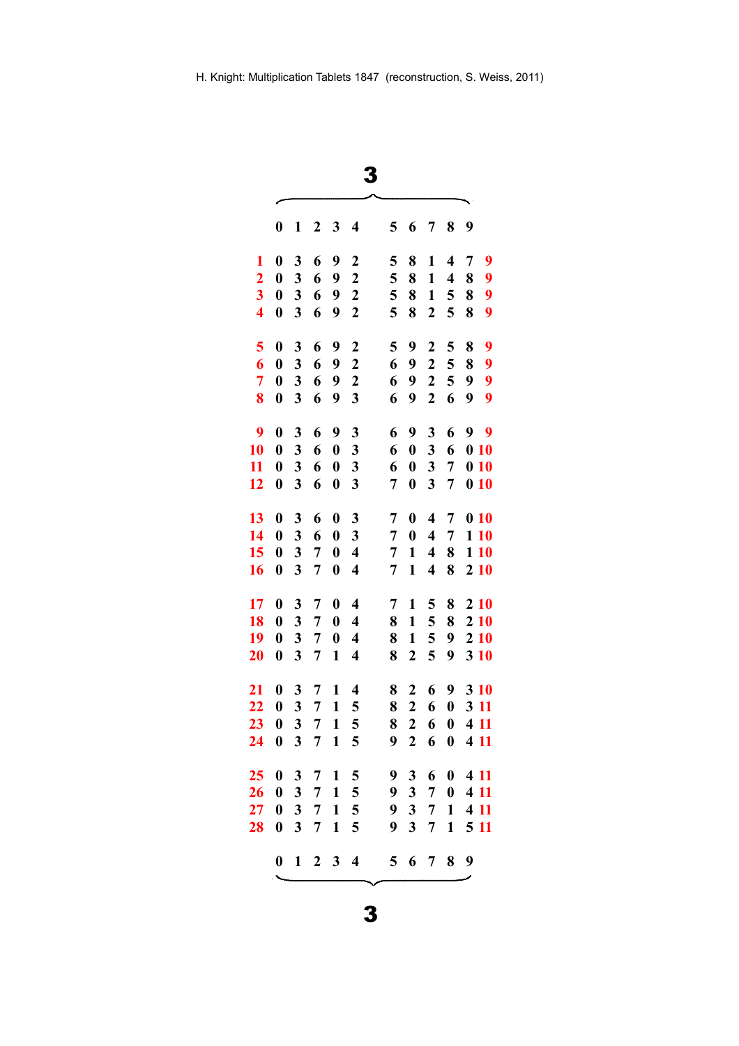|                         | $\boldsymbol{0}$ | 1                       | 2 | 3                | $\overline{\mathbf{4}}$ | 5              | 6                       | 7                       | 8                | 9                |      |
|-------------------------|------------------|-------------------------|---|------------------|-------------------------|----------------|-------------------------|-------------------------|------------------|------------------|------|
| 1                       | $\boldsymbol{0}$ | 3                       | 6 | 9                | $\mathbf 2$             | 5              | 8                       | 1                       | 4                | 7                | 9    |
| $\overline{2}$          | $\boldsymbol{0}$ | 3                       | 6 | 9                | $\mathbf 2$             | 5              | 8                       | 1                       | 4                | 8                | 9    |
| $\overline{\mathbf{3}}$ | $\boldsymbol{0}$ | 3                       | 6 | 9                | $\boldsymbol{2}$        | 5              | 8                       | $\mathbf{1}$            | 5                | 8                | 9    |
| $\overline{\mathbf{4}}$ | $\boldsymbol{0}$ | 3                       | 6 | 9                | $\mathbf 2$             | 5              | 8                       | $\boldsymbol{2}$        | 5                | 8                | 9    |
| 5                       | $\boldsymbol{0}$ | 3                       | 6 | 9                | $\boldsymbol{2}$        | 5              | 9                       | $\boldsymbol{2}$        | 5                | 8                | 9    |
| 6                       | $\boldsymbol{0}$ | 3                       | 6 | 9                | $\overline{2}$          | 6              | 9                       | $\overline{2}$          | 5                | 8                | 9    |
| $\overline{7}$          | $\boldsymbol{0}$ | 3                       | 6 | 9                | $\boldsymbol{2}$        | 6              | 9                       | $\boldsymbol{2}$        | 5                | 9                | 9    |
| 8                       | $\boldsymbol{0}$ | 3                       | 6 | 9                | 3                       | 6              | 9                       | $\boldsymbol{2}$        | 6                | 9                | 9    |
| 9                       | $\boldsymbol{0}$ | 3                       | 6 | 9                | 3                       | 6              | 9                       | 3                       | 6                | 99               |      |
| 10                      | $\boldsymbol{0}$ | 3                       | 6 | $\boldsymbol{0}$ | 3                       | 6              | $\boldsymbol{0}$        | 3                       | 6                | $\boldsymbol{0}$ | 10   |
| 11                      | $\boldsymbol{0}$ | $\overline{\mathbf{3}}$ | 6 | $\boldsymbol{0}$ | $\mathbf{3}$            | 6              | $\boldsymbol{0}$        | 3                       | 7                | 010              |      |
| 12                      | $\boldsymbol{0}$ | $\overline{\mathbf{3}}$ | 6 | $\boldsymbol{0}$ | $\overline{\mathbf{3}}$ | 7              | $\boldsymbol{0}$        | $\overline{\mathbf{3}}$ | 7                | 010              |      |
| 13                      | $\boldsymbol{0}$ | 3                       | 6 | $\boldsymbol{0}$ | 3                       | 7              | $\boldsymbol{0}$        | $\overline{\mathbf{4}}$ | 7                | 010              |      |
| 14                      | $\boldsymbol{0}$ | 3                       | 6 | $\boldsymbol{0}$ | 3                       | 7              | $\boldsymbol{0}$        | $\overline{\mathbf{4}}$ | 7                |                  | 1 10 |
| 15                      | $\boldsymbol{0}$ | 3                       | 7 | $\boldsymbol{0}$ | $\overline{\mathbf{4}}$ | 7              | $\mathbf{1}$            | $\overline{\mathbf{4}}$ | 8                |                  | 110  |
| 16                      | $\boldsymbol{0}$ | 3                       | 7 | $\boldsymbol{0}$ | $\overline{\mathbf{4}}$ | 7              | $\mathbf{1}$            | $\overline{\mathbf{4}}$ | 8                | 210              |      |
| 17                      | $\boldsymbol{0}$ | 3                       | 7 | $\bf{0}$         | $\overline{\mathbf{4}}$ | 7              | 1                       | 5                       | 8                | 210              |      |
| 18                      | $\boldsymbol{0}$ | 3                       | 7 | $\boldsymbol{0}$ | $\overline{\mathbf{4}}$ | 8              | $\mathbf{1}$            | 5                       | 8                | 210              |      |
| 19                      | $\boldsymbol{0}$ | 3                       | 7 | $\boldsymbol{0}$ | $\overline{\mathbf{4}}$ | 8              | $\mathbf{1}$            | 5                       | 9                | 210              |      |
| 20                      | $\boldsymbol{0}$ | $\overline{\mathbf{3}}$ | 7 | $\mathbf{1}$     | $\overline{\mathbf{4}}$ | 8              | $\boldsymbol{2}$        | 5                       | 9                | 3 10             |      |
| 21                      | $\boldsymbol{0}$ | 3                       | 7 | 1                | $\overline{\mathbf{4}}$ | 8              | $\boldsymbol{2}$        | 6                       | 9                | 3 10             |      |
| 22                      | $\boldsymbol{0}$ | 3                       | 7 | $\mathbf{1}$     | 5                       | 8              | $\overline{2}$          | 6                       | $\boldsymbol{0}$ | 3 11             |      |
| 23                      | $\boldsymbol{0}$ | 3                       | 7 | $\mathbf{1}$     | 5                       | 8              | $\boldsymbol{2}$        | 6                       | $\boldsymbol{0}$ | 4 11             |      |
| 24                      | $\boldsymbol{0}$ | 3                       | 7 | $\mathbf{1}$     | 5                       | 9              | $\overline{2}$          | 6                       | $\boldsymbol{0}$ | 4 11             |      |
| 25                      | $\boldsymbol{0}$ | 3                       | 7 | 1                | 5                       | 9              | 3                       | 6                       | $\mathbf{0}$     | 4 11             |      |
| 26                      | $\boldsymbol{0}$ | 3                       | 7 | 1                | 5                       | 9              | 3 <sup>1</sup>          | $\overline{7}$          | $\bf{0}$         | 4 11             |      |
| 27                      | $\boldsymbol{0}$ | $\mathbf{3}$            | 7 | $\mathbf{1}$     | 5                       | 9              | $\mathbf{3}$            | $\overline{7}$          | $\mathbf{1}$     | 4 11             |      |
| 28                      | $\boldsymbol{0}$ | $\overline{\mathbf{3}}$ | 7 | $\mathbf{1}$     | 5                       | 9              | $\overline{\mathbf{3}}$ | 7                       | $\mathbf{1}$     | 5 11             |      |
|                         | $\mathbf{0}$     | $\mathbf{1}$            |   | $2 \quad 3$      | $\overline{\mathbf{4}}$ | 5 <sup>5</sup> | 6                       | $7\overline{ }$         | 8                | 9                |      |
|                         |                  |                         |   |                  |                         |                |                         |                         |                  |                  |      |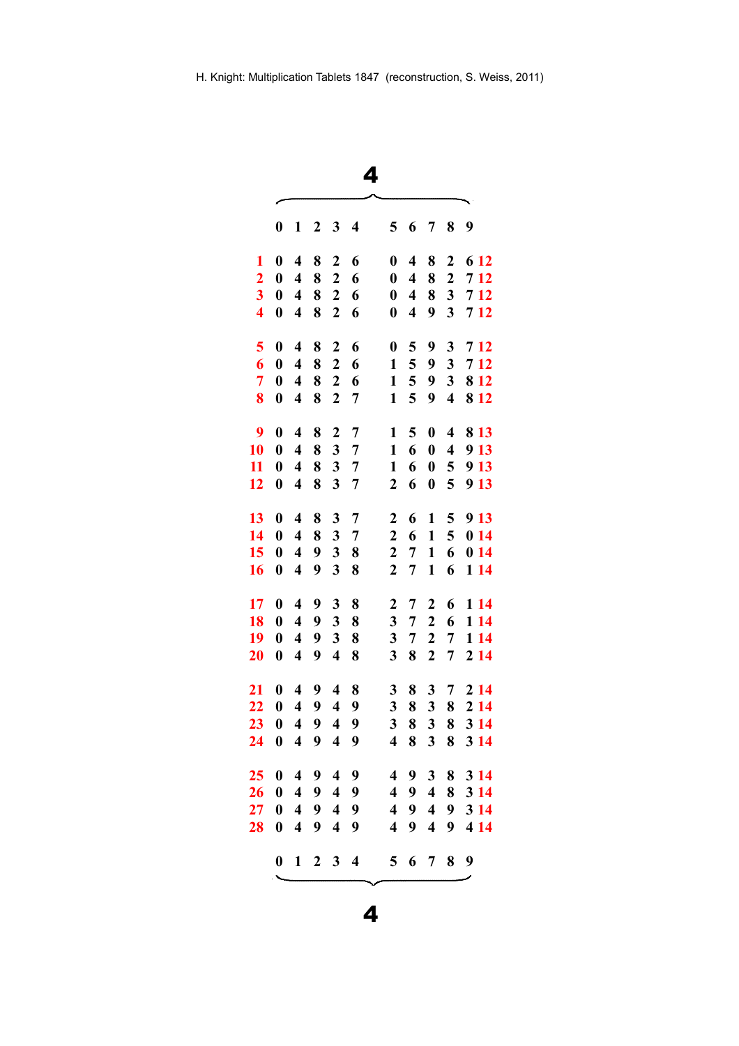|                         |                  |                         |                         |                         | 4                       |                         |                         |                         |                         |             |
|-------------------------|------------------|-------------------------|-------------------------|-------------------------|-------------------------|-------------------------|-------------------------|-------------------------|-------------------------|-------------|
|                         | 0                | 1                       | 2                       | 3                       | 4                       | 5                       | 6                       | 7                       | 8                       | 9           |
| 1                       | $\bf{0}$         | $\overline{\mathbf{4}}$ | 8                       | $\boldsymbol{2}$        | 6                       | $\boldsymbol{0}$        | $\overline{\mathbf{4}}$ | 8                       | $\boldsymbol{2}$        | 6 12        |
| $\overline{2}$          | $\boldsymbol{0}$ | $\overline{\mathbf{4}}$ | 8                       | $\overline{c}$          | 6                       | $\boldsymbol{0}$        | $\overline{\mathbf{4}}$ | 8                       | $\boldsymbol{2}$        | 7 12        |
| $\overline{\mathbf{3}}$ | $\boldsymbol{0}$ | $\overline{\mathbf{4}}$ | 8                       | $\overline{2}$          | 6                       | $\boldsymbol{0}$        | $\overline{\mathbf{4}}$ | 8                       | 3                       | 7 12        |
| $\overline{\mathbf{4}}$ | $\bf{0}$         | $\overline{\mathbf{4}}$ | 8                       | $\boldsymbol{2}$        | 6                       | $\boldsymbol{0}$        | $\overline{\mathbf{4}}$ | 9                       | 3                       | 712         |
| 5                       | $\bf{0}$         | $\overline{\mathbf{4}}$ | 8                       | $\boldsymbol{2}$        | 6                       | $\boldsymbol{0}$        | 5                       | 9                       | 3                       | 712         |
| 6                       | $\bf{0}$         | $\overline{\mathbf{4}}$ | 8                       | $\boldsymbol{2}$        | 6                       | $\mathbf{1}$            | 5                       | 9                       | 3                       | 7 12        |
| $\overline{7}$          | $\boldsymbol{0}$ | $\overline{\mathbf{4}}$ | 8                       | $\mathbf{2}$            | 6                       | $\mathbf{1}$            | 5                       | 9                       | 3                       | 8 1 2       |
| 8                       | $\boldsymbol{0}$ | $\overline{\mathbf{4}}$ | 8                       | $\overline{2}$          | 7                       | $\mathbf{1}$            | 5                       | 9                       | $\overline{\mathbf{4}}$ | 8 1 2       |
| 9                       | $\bf{0}$         | $\overline{\mathbf{4}}$ | 8                       | $\overline{c}$          | 7                       | $\mathbf{1}$            | 5                       | $\bf{0}$                | $\overline{\mathbf{4}}$ | 8 1 3       |
| 10                      | $\boldsymbol{0}$ | $\overline{\mathbf{4}}$ | 8                       | 3                       | 7                       | $\mathbf{1}$            | 6                       | $\boldsymbol{0}$        | $\overline{\mathbf{4}}$ | 9 13        |
| 11                      | $\boldsymbol{0}$ | $\overline{\mathbf{4}}$ | 8                       | $\overline{\mathbf{3}}$ | $\overline{7}$          | $\mathbf{1}$            | 6                       | $\boldsymbol{0}$        | 5                       | 9 13        |
| 12                      | $\boldsymbol{0}$ | $\overline{\mathbf{4}}$ | 8                       | 3                       | 7                       | 2                       | 6                       | $\boldsymbol{0}$        | 5                       | 9 13        |
| 13                      | $\bf{0}$         | $\overline{\mathbf{4}}$ | 8                       | 3                       | $\overline{7}$          | $\overline{2}$          | 6                       | 1                       | 5                       | 9 13        |
| 14                      | $\boldsymbol{0}$ | $\overline{\mathbf{4}}$ | 8                       | 3                       | 7                       | $\boldsymbol{2}$        | 6                       | $\mathbf{1}$            | 5                       | 014         |
| 15                      | $\boldsymbol{0}$ | $\overline{\mathbf{4}}$ | 9                       | 3                       | 8                       | 2                       | 7                       | $\mathbf{1}$            | 6                       | 014         |
| 16                      | $\boldsymbol{0}$ | $\overline{\mathbf{4}}$ | 9                       | $\overline{\mathbf{3}}$ | 8                       | $\boldsymbol{2}$        | $\overline{7}$          | $\mathbf{1}$            | 6                       | 1 14        |
| 17                      | $\bf{0}$         | $\overline{\mathbf{4}}$ | 9                       | 3                       | 8                       | $\boldsymbol{2}$        | 7                       | $\mathbf{2}$            | 6                       | 1 14        |
| 18                      | $\boldsymbol{0}$ | $\overline{\mathbf{4}}$ | 9                       | 3                       | 8                       | 3                       | 7                       | $\boldsymbol{2}$        | 6                       | 1 14        |
| 19                      | $\boldsymbol{0}$ | $\overline{\mathbf{4}}$ | 9                       | 3                       | 8                       | 3                       | 7                       | $\overline{\mathbf{c}}$ | 7                       | 1 14        |
| $\overline{\bf 20}$     | $\bf{0}$         | $\overline{\mathbf{4}}$ | 9                       | $\overline{\mathbf{4}}$ | 8                       | 3                       | 8                       | $\overline{2}$          | 7                       | 2 14        |
| 21                      | $\boldsymbol{0}$ | $\overline{\mathbf{4}}$ | 9                       | $\overline{\mathbf{4}}$ | 8                       | 3                       | 8                       | 3                       | 7                       | 2 14        |
| 22                      | $\boldsymbol{0}$ | $\overline{\mathbf{4}}$ | 9                       | $\overline{\mathbf{4}}$ | 9                       | 3                       | 8                       | 3                       | 8                       | 2 14        |
| 23                      | $\mathbf{0}$     | 4                       | - 9                     | 4                       | -9                      | 3                       | - 8                     | $\mathbf{3}$            | 8                       | <b>3</b> 14 |
| 24                      | $\boldsymbol{0}$ | $\overline{\mathbf{4}}$ | 9                       | $\overline{\mathbf{4}}$ | 9                       | $\overline{\mathbf{4}}$ | 8                       | $\mathbf{3}$            | 8                       | 3 1 4       |
| 25                      | $\mathbf 0$      |                         | 49                      | $\overline{\mathbf{4}}$ | 9                       |                         | 49                      | 3 <sup>1</sup>          | 8                       | 3 14        |
| 26                      | $\boldsymbol{0}$ | $\overline{4}$          | $\overline{\mathbf{9}}$ | $\overline{\mathbf{4}}$ | 9                       |                         | 494                     |                         | 8                       | 3 1 4       |
| $27\,$                  | $\boldsymbol{0}$ | $\overline{4}$          | 9                       | $\overline{4}$          | 9                       |                         | 49                      | $\overline{\mathbf{4}}$ | 9                       | 3 14        |
| 28                      | $\bf{0}$         | $\overline{\mathbf{4}}$ | 9                       | $\overline{\mathbf{4}}$ | 9                       | $\overline{\mathbf{4}}$ | 9                       | 4                       | 9                       | 4 14        |
|                         | $\boldsymbol{0}$ | $\mathbf{1}$            | $\boldsymbol{2}$        | 3                       | $\overline{\mathbf{4}}$ | 5 <sup>5</sup>          | 6                       | $\overline{7}$          | 8                       | 9           |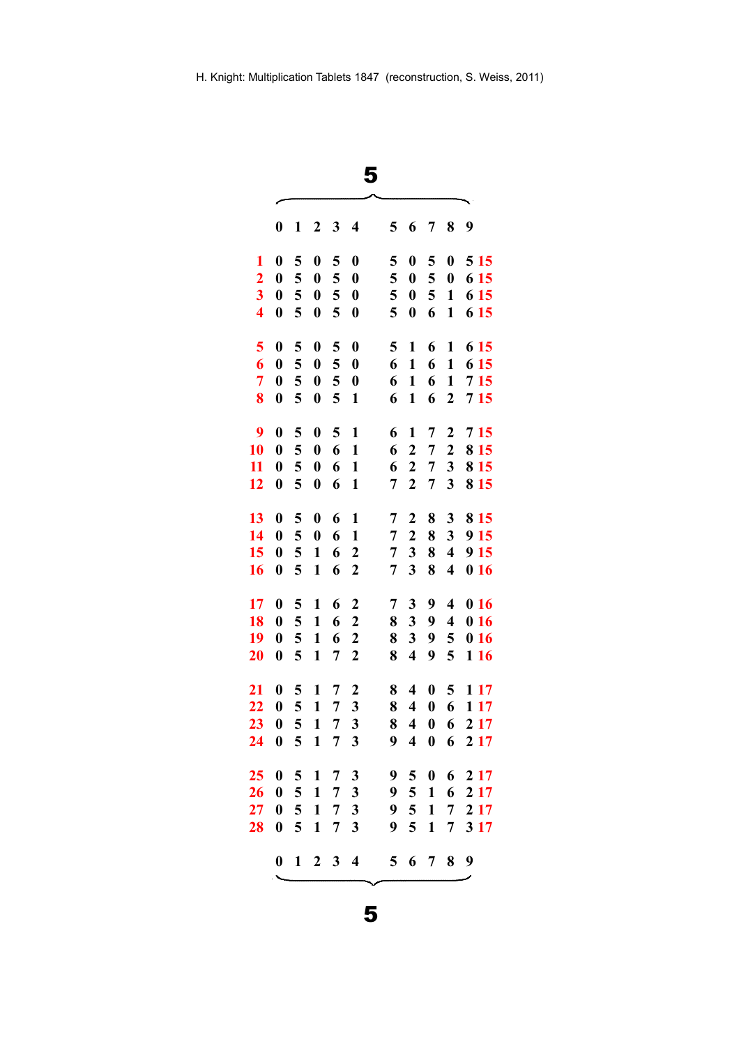|                         |                  |                |                     |                | 5                       |                |                         |                  |                         |       |
|-------------------------|------------------|----------------|---------------------|----------------|-------------------------|----------------|-------------------------|------------------|-------------------------|-------|
|                         | 0                | 1              | 2                   | 3              | 4                       | 5              | 6                       | 7                | 8                       | 9     |
| 1                       | $\bf{0}$         | 5              | $\boldsymbol{0}$    | 5              | $\boldsymbol{0}$        | 5              | $\boldsymbol{0}$        | 5                | $\boldsymbol{0}$        | 5 1 5 |
| $\overline{2}$          | $\boldsymbol{0}$ | 5              | $\boldsymbol{0}$    | 5              | $\boldsymbol{0}$        | 5              | $\boldsymbol{0}$        | 5                | $\boldsymbol{0}$        | 6 15  |
| $\overline{\mathbf{3}}$ | $\boldsymbol{0}$ | 5              | $\boldsymbol{0}$    | 5              | $\boldsymbol{0}$        | 5              | $\boldsymbol{0}$        | 5                | $\mathbf{1}$            | 6 15  |
| $\overline{\mathbf{4}}$ | $\boldsymbol{0}$ | 5              | $\boldsymbol{0}$    | 5              | $\boldsymbol{0}$        | 5              | $\boldsymbol{0}$        | 6                | 1                       | 6 15  |
| 5                       | $\bf{0}$         | 5              | $\boldsymbol{0}$    | 5              | $\boldsymbol{0}$        | 5              | $\mathbf{1}$            | 6                | 1                       | 6 15  |
| 6                       | $\boldsymbol{0}$ | 5              | $\boldsymbol{0}$    | 5              | $\boldsymbol{0}$        | 6              | $\mathbf{1}$            | 6                | $\mathbf{1}$            | 6 15  |
| $\overline{7}$          | $\boldsymbol{0}$ | 5              | $\boldsymbol{0}$    | 5              | $\boldsymbol{0}$        | 6              | 1                       | 6                | $\mathbf{1}$            | 715   |
| 8                       | $\boldsymbol{0}$ | 5              | $\boldsymbol{0}$    | 5              | $\mathbf{1}$            | 6              | 1                       | 6                | $\boldsymbol{2}$        | 715   |
| 9                       | $\bf{0}$         | 5              | $\boldsymbol{0}$    | 5              | 1                       | 6              | 1                       | 7                | $\boldsymbol{2}$        | 7 15  |
| 10                      | $\boldsymbol{0}$ | 5              | $\boldsymbol{0}$    | 6              | $\mathbf{1}$            | 6              | $\overline{2}$          | $\overline{7}$   | $\boldsymbol{2}$        | 8 1 5 |
| 11                      | $\boldsymbol{0}$ | 5              | $\boldsymbol{0}$    | 6              | $\mathbf{1}$            | 6              | $\overline{2}$          | 7                | 3                       | 8 15  |
| 12                      | $\boldsymbol{0}$ | 5              | $\boldsymbol{0}$    | 6              | $\mathbf{1}$            | 7              | $\boldsymbol{2}$        | 7                | 3                       | 8 1 5 |
| 13                      | $\boldsymbol{0}$ | 5              | $\boldsymbol{0}$    | 6              | 1                       | 7              | $\boldsymbol{2}$        | 8                | 3                       | 8 1 5 |
| 14                      | $\boldsymbol{0}$ | 5              | $\boldsymbol{0}$    | 6              | $\mathbf{1}$            | 7              | $\boldsymbol{2}$        | 8                | 3                       | 9 15  |
| 15                      | $\boldsymbol{0}$ | 5              | $\mathbf{1}$        | 6              | $\boldsymbol{2}$        | 7              | 3                       | 8                | $\overline{\mathbf{4}}$ | 9 15  |
| 16                      | $\boldsymbol{0}$ | 5              | $\mathbf{1}$        | 6              | $\boldsymbol{2}$        | 7              | 3                       | 8                | $\overline{\mathbf{4}}$ | 016   |
| 17                      | $\boldsymbol{0}$ | 5              | 1                   | 6              | $\overline{c}$          | 7              | 3                       | 9                | $\overline{\mathbf{4}}$ | 016   |
| 18                      | $\boldsymbol{0}$ | 5              | $\mathbf{1}$        | 6              | $\boldsymbol{2}$        | 8              | 3                       | 9                | $\overline{\mathbf{4}}$ | 016   |
| 19                      | $\boldsymbol{0}$ | 5              | $\mathbf{1}$        | 6              | 2                       | 8              | 3                       | 9                | 5                       | 016   |
| 20                      | $\boldsymbol{0}$ | 5              | $\mathbf{1}$        | 7              | $\boldsymbol{2}$        | 8              | $\overline{\mathbf{4}}$ | 9                | 5                       | 116   |
| 21                      | $\boldsymbol{0}$ | 5              | 1                   | 7              | $\boldsymbol{2}$        | 8              | $\overline{\mathbf{4}}$ | $\boldsymbol{0}$ | 5                       | 1 17  |
| 22                      | $\boldsymbol{0}$ | 5              | $\mathbf{1}$        | 7              | 3                       | 8              | $\overline{\mathbf{4}}$ | $\boldsymbol{0}$ | 6                       | 1 17  |
| 23 0                    |                  | 5 1            |                     | $\overline{7}$ | 3                       | 8              | 40                      |                  | 6                       | 2 1 7 |
| 24                      | $\mathbf{0}$     | 5 <sup>5</sup> | $\mathbf{1}$        | $\overline{7}$ | 3                       | 9              | $\overline{\mathbf{4}}$ | $\boldsymbol{0}$ | 6                       | 2 1 7 |
| 25.                     | $\mathbf{0}$     | 5 <sup>5</sup> | 1                   | $\overline{7}$ | 3                       |                |                         | 950              | 6                       | 2 1 7 |
| 26                      | $\boldsymbol{0}$ | 5 <sup>5</sup> | $\mathbf{1}$        | $\overline{7}$ | 3                       |                | 9 5 1                   |                  | 6                       | 2 17  |
| $27\,$                  | $\boldsymbol{0}$ | 5 <sup>5</sup> | $\mathbf{1}$        | $\overline{7}$ | 3                       | 9              | $5\overline{)}$         | $\mathbf{1}$     | 7                       | 2 1 7 |
| 28                      | $\boldsymbol{0}$ | 5              | $\mathbf{1}$        | 7              | 3                       | 9              | 5                       | $\mathbf{1}$     | 7                       | 3 17  |
|                         | $\mathbf{0}$     |                | $1 \quad 2 \quad 3$ |                | $\overline{\mathbf{4}}$ | 5 <sup>5</sup> |                         | 6 7              | 8                       | 9     |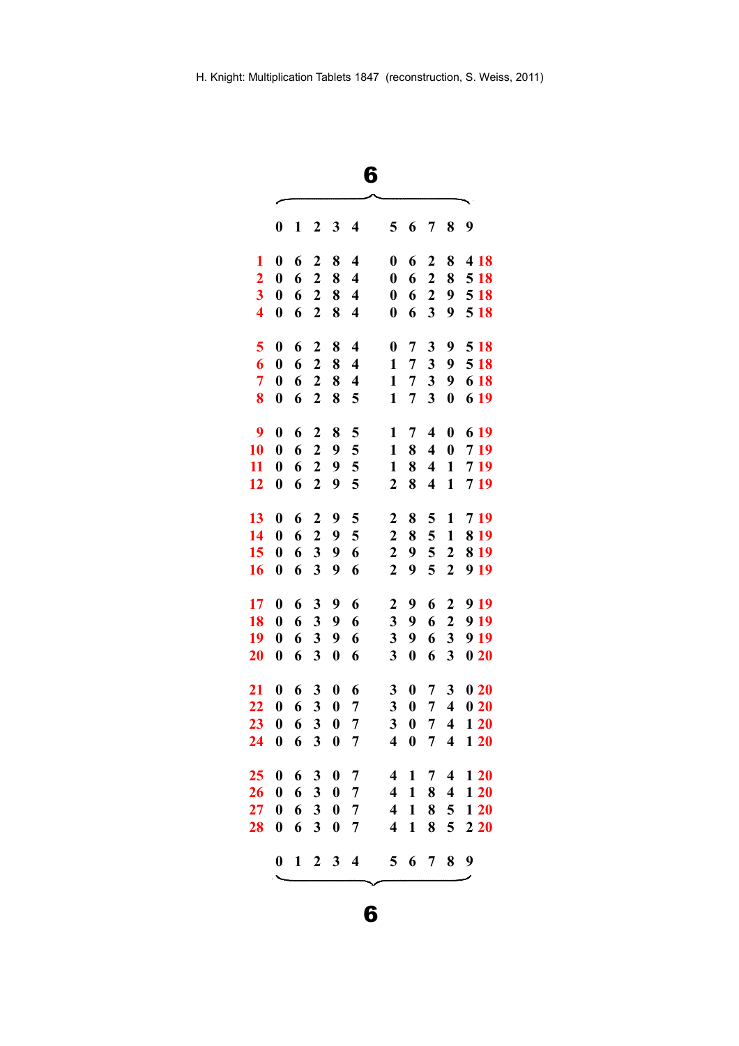| 6                       |     |
|-------------------------|-----|
|                         | ╰── |
| $\overline{\mathbf{A}}$ | ┍   |

╮

|                         | $\boldsymbol{0}$ | 1            | 2                       | 3                | $\overline{\mathbf{4}}$ | 5                       | 6                | 7                       | 8                       | 9     |
|-------------------------|------------------|--------------|-------------------------|------------------|-------------------------|-------------------------|------------------|-------------------------|-------------------------|-------|
| 1                       | $\boldsymbol{0}$ | 6            | $\boldsymbol{2}$        | 8                | 4                       | 0                       | 6                | 2                       | 8                       | 4 18  |
| $\overline{2}$          | $\boldsymbol{0}$ | 6            | $\overline{2}$          | 8                | $\overline{\mathbf{4}}$ | $\boldsymbol{0}$        | 6                | $\overline{2}$          | 8                       | 5 18  |
| $\overline{\mathbf{3}}$ | $\boldsymbol{0}$ | 6            | $\boldsymbol{2}$        | 8                | 4                       | $\boldsymbol{0}$        | 6                | $\boldsymbol{2}$        | 9                       | 5 18  |
| $\overline{\mathbf{4}}$ | $\boldsymbol{0}$ | 6            | $\boldsymbol{2}$        | 8                | 4                       | $\boldsymbol{0}$        | 6                | 3                       | 9                       | 5 18  |
| 5                       | $\boldsymbol{0}$ | 6            | $\overline{2}$          | 8                | 4                       | $\boldsymbol{0}$        | 7                | 3                       | 9                       | 5 18  |
| 6                       | $\boldsymbol{0}$ | 6            | $\overline{2}$          | 8                | $\overline{\mathbf{4}}$ | 1                       | 7                | 3                       | 9                       | 5 18  |
| $\overline{7}$          | $\boldsymbol{0}$ | 6            | $\overline{2}$          | 8                | 4                       | $\mathbf{1}$            | 7                | 3                       | 9                       | 6 18  |
| 8                       | $\boldsymbol{0}$ | 6            | $\overline{2}$          | 8                | 5                       | $\mathbf{1}$            | 7                | $\overline{\mathbf{3}}$ | $\boldsymbol{0}$        | 6 19  |
| 9                       | $\boldsymbol{0}$ | 6            | $\boldsymbol{2}$        | 8                | 5                       | 1                       | 7                | $\overline{\mathbf{4}}$ | $\boldsymbol{0}$        | 6 19  |
| 10                      | $\boldsymbol{0}$ | 6            | $\overline{2}$          | 9                | 5                       | $\mathbf{1}$            | 8                | $\overline{\mathbf{4}}$ | $\boldsymbol{0}$        | 719   |
| 11                      | $\boldsymbol{0}$ | 6            | $\mathbf{2}$            | 9                | 5                       | $\mathbf{1}$            | 8                | 4                       | $\mathbf{1}$            | 719   |
| 12                      | $\boldsymbol{0}$ | 6            | $\overline{2}$          | 9                | 5                       | $\overline{2}$          | 8                | 4                       | $\mathbf{1}$            | 719   |
| 13                      | $\boldsymbol{0}$ | 6            | $\boldsymbol{2}$        | 9                | 5                       | $\boldsymbol{2}$        | 8                | 5                       | $\mathbf{1}$            | 719   |
| 14                      | $\boldsymbol{0}$ | 6            | $\boldsymbol{2}$        | 9                | 5                       | $\overline{2}$          | 8                | 5                       | $\mathbf{1}$            | 8 1 9 |
| 15                      | $\boldsymbol{0}$ | 6            | 3                       | 9                | 6                       | $\mathbf 2$             | 9                | 5                       | $\overline{2}$          | 8 1 9 |
| 16                      | $\bf{0}$         | 6            | 3                       | 9                | 6                       | $\overline{2}$          | 9                | 5                       | $\overline{2}$          | 9 19  |
| 17                      | $\boldsymbol{0}$ | 6            | 3                       | 9                | 6                       | $\boldsymbol{2}$        | 9                | 6                       | $\boldsymbol{2}$        | 9 19  |
| 18                      | $\boldsymbol{0}$ | 6            | 3                       | 9                | 6                       | 3                       | 9                | 6                       | $\overline{2}$          | 9 19  |
| 19                      | $\boldsymbol{0}$ | 6            | 3                       | 9                | 6                       | 3                       | 9                | 6                       | 3                       | 9 19  |
| 20                      | $\boldsymbol{0}$ | 6            | 3                       | $\boldsymbol{0}$ | 6                       | 3                       | $\boldsymbol{0}$ | 6                       | 3                       | 020   |
| 21                      | $\boldsymbol{0}$ | 6            | 3                       | $\boldsymbol{0}$ | 6                       | 3                       | $\boldsymbol{0}$ | 7                       | 3                       | 020   |
| 22                      | $\boldsymbol{0}$ | 6            | 3                       | $\boldsymbol{0}$ | 7                       | 3                       | $\boldsymbol{0}$ | 7                       | $\overline{\mathbf{4}}$ | 020   |
| 23                      | $\boldsymbol{0}$ | 6            | $\overline{\mathbf{3}}$ | $\boldsymbol{0}$ | $\overline{7}$          | 3                       | $\boldsymbol{0}$ | 7                       | 4                       | 120   |
| 24                      | $\boldsymbol{0}$ | 6            | 3                       | $\boldsymbol{0}$ | 7                       | $\overline{\mathbf{4}}$ | $\boldsymbol{0}$ | 7                       | $\overline{\mathbf{4}}$ | 120   |
| 25                      | $\boldsymbol{0}$ | 6            | $\mathbf{3}$            | $\boldsymbol{0}$ | $\overline{7}$          | 4                       | 1                | $\overline{7}$          | 4                       | 120   |
| 26                      | $\boldsymbol{0}$ | 6            | 3                       | $\boldsymbol{0}$ | 7                       | 4                       | $\mathbf{1}$     | $\bf 8$                 | $\overline{\mathbf{4}}$ | 120   |
| 27                      | $\boldsymbol{0}$ | 6            | $\mathbf{3}$            | $\boldsymbol{0}$ | 7                       | 4                       | $\mathbf{1}$     | 8                       | 5                       | 120   |
| 28                      | $\boldsymbol{0}$ | 6            | 3                       | $\boldsymbol{0}$ | 7                       | 4                       | $\mathbf{1}$     | 8                       | 5                       | 220   |
|                         | $\boldsymbol{0}$ | $\mathbf{1}$ | $\boldsymbol{2}$        | 3                | $\overline{\mathbf{4}}$ | 5                       |                  | 6 7                     | 8                       | 9     |
|                         |                  |              |                         |                  |                         |                         |                  |                         |                         |       |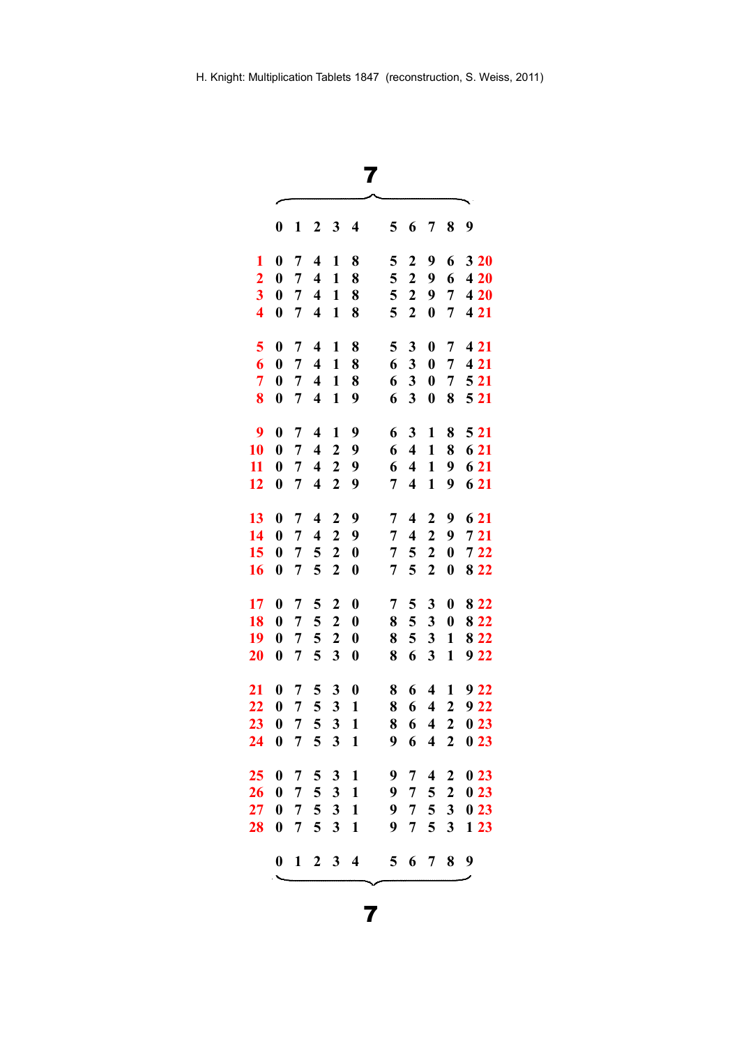|                         |                  |                 |                         |                         | 7                |   |                         |                         |                  |       |
|-------------------------|------------------|-----------------|-------------------------|-------------------------|------------------|---|-------------------------|-------------------------|------------------|-------|
|                         | $\boldsymbol{0}$ | 1               | $\boldsymbol{2}$        | 3                       | 4                | 5 | 6                       | 7                       | 8                | 9     |
| 1                       | $\boldsymbol{0}$ | 7               | $\overline{\mathbf{4}}$ | 1                       | 8                | 5 | $\boldsymbol{2}$        | 9                       | 6                | 3 20  |
| $\overline{2}$          | $\boldsymbol{0}$ | 7               | $\overline{\mathbf{4}}$ | 1                       | 8                | 5 | $\boldsymbol{2}$        | 9                       | 6                | 420   |
| 3                       | $\boldsymbol{0}$ | 7               | $\overline{\mathbf{4}}$ | $\mathbf{1}$            | 8                | 5 | $\boldsymbol{2}$        | 9                       | $\overline{7}$   | 4 20  |
| $\overline{\mathbf{4}}$ | $\boldsymbol{0}$ | 7               | $\overline{\mathbf{4}}$ | $\mathbf{1}$            | 8                | 5 | $\boldsymbol{2}$        | $\boldsymbol{0}$        | 7                | 4 21  |
| 5                       | $\boldsymbol{0}$ | 7               | $\overline{\mathbf{4}}$ | 1                       | 8                | 5 | 3                       | $\boldsymbol{0}$        | 7                | 4 2 1 |
| 6                       | $\boldsymbol{0}$ | 7               | $\overline{\mathbf{4}}$ | $\mathbf{1}$            | 8                | 6 | 3                       | $\boldsymbol{0}$        | 7                | 4 2 1 |
| 7                       | $\boldsymbol{0}$ | 7               | $\overline{\mathbf{4}}$ | $\mathbf{1}$            | 8                | 6 | 3                       | $\boldsymbol{0}$        | 7                | 5 21  |
| 8                       | $\boldsymbol{0}$ | 7               | $\overline{\mathbf{4}}$ | $\mathbf{1}$            | 9                | 6 | 3                       | $\boldsymbol{0}$        | 8                | 5 21  |
| 9                       | $\bf{0}$         | 7               | 4                       | 1                       | 9                | 6 | 3                       | $\mathbf{1}$            | 8                | 5 2 1 |
| 10                      | $\boldsymbol{0}$ | 7               | $\overline{\mathbf{4}}$ | $\overline{2}$          | 9                | 6 | $\overline{\mathbf{4}}$ | $\mathbf{1}$            | 8                | 6 21  |
| 11                      | $\boldsymbol{0}$ | 7               | $\overline{\mathbf{4}}$ | $\overline{2}$          | 9                | 6 | $\overline{\mathbf{4}}$ | $\mathbf{1}$            | 9                | 6 21  |
| 12                      | $\boldsymbol{0}$ | 7               | $\overline{\mathbf{4}}$ | $\boldsymbol{2}$        | 9                | 7 | $\overline{\mathbf{4}}$ | $\mathbf{1}$            | 9                | 6 21  |
| 13                      | $\boldsymbol{0}$ | 7               | $\overline{\mathbf{4}}$ | $\boldsymbol{2}$        | 9                | 7 | $\overline{\mathbf{4}}$ | $\boldsymbol{2}$        | 9                | 6 21  |
| 14                      | $\boldsymbol{0}$ | 7               | $\overline{\mathbf{4}}$ | $\overline{\mathbf{c}}$ | 9                | 7 | $\overline{\mathbf{4}}$ | $\mathbf 2$             | 9                | 721   |
| 15                      | $\boldsymbol{0}$ | 7               | 5                       | $\boldsymbol{2}$        | $\boldsymbol{0}$ | 7 | 5                       | $\boldsymbol{2}$        | $\boldsymbol{0}$ | $722$ |
| 16                      | $\boldsymbol{0}$ | 7               | 5                       | $\overline{2}$          | $\boldsymbol{0}$ | 7 | 5                       | $\overline{2}$          | $\boldsymbol{0}$ | 8 2 2 |
| 17                      | $\boldsymbol{0}$ | 7               | 5                       | $\boldsymbol{2}$        | $\boldsymbol{0}$ | 7 | 5                       | 3                       | $\boldsymbol{0}$ | 8 2 2 |
| 18                      | $\boldsymbol{0}$ | 7               | 5                       | $\boldsymbol{2}$        | $\boldsymbol{0}$ | 8 | 5                       | 3                       | $\boldsymbol{0}$ | 8 2 2 |
| 19                      | $\boldsymbol{0}$ | 7               | 5                       | $\overline{2}$          | $\boldsymbol{0}$ | 8 | 5                       | 3                       | $\mathbf{1}$     | 8 2 2 |
| 20                      | $\boldsymbol{0}$ | 7               | 5                       | 3                       | $\boldsymbol{0}$ | 8 | 6                       | 3                       | $\mathbf{1}$     | 922   |
| 21                      | $\boldsymbol{0}$ | 7               | 5                       | 3                       | $\boldsymbol{0}$ | 8 | 6                       | $\overline{\mathbf{4}}$ | 1                | 922   |
| 22                      | $\boldsymbol{0}$ | 7               | 5                       | 3                       | $\mathbf{1}$     | 8 | 6                       | $\overline{\mathbf{4}}$ | $\boldsymbol{2}$ | 9 22  |
| 23                      | $\boldsymbol{0}$ | $7\phantom{.0}$ | $\overline{5}$          | 3                       | $\mathbf{1}$     | 8 | 6                       |                         | $4\quad2$        | 023   |
| 24                      | $\boldsymbol{0}$ | $\overline{7}$  | 5                       | $\mathbf{3}$            | $\mathbf{1}$     | 9 | 6                       | $\overline{\mathbf{4}}$ | $2^{\circ}$      | 023   |
| 25                      | $\boldsymbol{0}$ | $\overline{7}$  |                         | 531                     |                  | 9 | $\overline{7}$          | $\overline{\mathbf{4}}$ | $\boldsymbol{2}$ | 023   |
| 26                      | $\boldsymbol{0}$ | $\overline{7}$  |                         | 5 <sub>3</sub>          | $\mathbf{1}$     | 9 | $\overline{7}$          | $5\overline{)}$         | $\boldsymbol{2}$ | 023   |
| 27                      | $\boldsymbol{0}$ | $\overline{7}$  | 5                       | $\mathbf{3}$            | $\mathbf{1}$     | 9 | $\overline{7}$          | $\overline{\mathbf{5}}$ | $\mathbf{3}$     | 023   |
| 28                      | $\boldsymbol{0}$ | 7               | 5                       | $\mathbf{3}$            | $\mathbf{1}$     | 9 | 7                       | 5                       | 3                | 123   |
|                         | $\mathbf{0}$     |                 | $1 \t2 \t3 \t4$         |                         |                  |   |                         | 5 6 7 8                 |                  | 9     |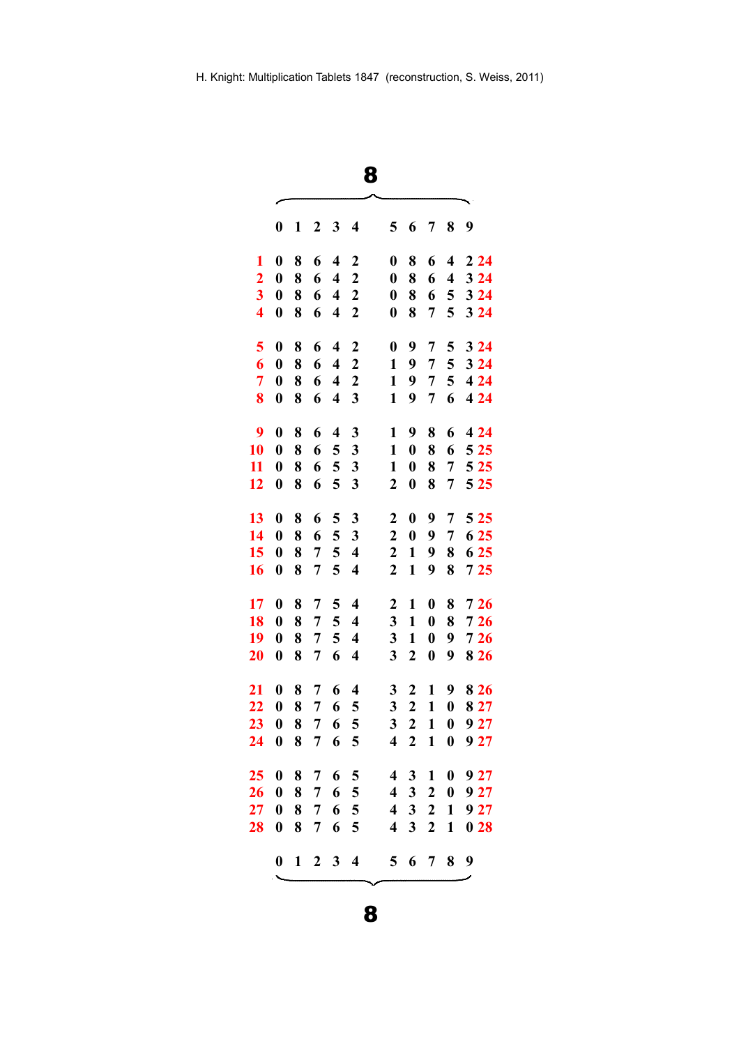| w<br>I<br>I<br>I<br>×<br>۰,<br>×. |
|-----------------------------------|
|-----------------------------------|

|                         | $\boldsymbol{0}$ | 1            | 2 | 3                       | 4                       | 5                       | 6                | 7                | 8                       | 9     |
|-------------------------|------------------|--------------|---|-------------------------|-------------------------|-------------------------|------------------|------------------|-------------------------|-------|
| 1                       | $\boldsymbol{0}$ | 8            | 6 | $\overline{\mathbf{4}}$ | 2                       | $\boldsymbol{0}$        | 8                | 6                | $\overline{\mathbf{4}}$ | 224   |
| $\overline{2}$          | $\boldsymbol{0}$ | 8            | 6 | $\overline{\mathbf{4}}$ | $\mathbf{2}$            | $\boldsymbol{0}$        | 8                | 6                | $\overline{\mathbf{4}}$ | 3 2 4 |
| $\overline{\mathbf{3}}$ | $\boldsymbol{0}$ | 8            | 6 | $\overline{\mathbf{4}}$ | $\boldsymbol{2}$        | $\boldsymbol{0}$        | 8                | 6                | 5                       | 3 2 4 |
| $\overline{\mathbf{4}}$ | $\boldsymbol{0}$ | 8            | 6 | $\overline{\mathbf{4}}$ | $\boldsymbol{2}$        | $\boldsymbol{0}$        | 8                | 7                | 5                       | 3 2 4 |
| 5                       | $\boldsymbol{0}$ | 8            | 6 | $\overline{\mathbf{4}}$ | $\boldsymbol{2}$        | $\boldsymbol{0}$        | 9                | 7                | 5                       | 324   |
| 6                       | $\boldsymbol{0}$ | 8            | 6 | $\overline{\mathbf{4}}$ | $\overline{2}$          | $\mathbf{1}$            | 9                | 7                | 5                       | 324   |
| 7                       | $\boldsymbol{0}$ | 8            | 6 | $\overline{\mathbf{4}}$ | $\boldsymbol{2}$        | $\mathbf{1}$            | 9                | $\overline{7}$   | 5                       | 4 2 4 |
| 8                       | $\boldsymbol{0}$ | 8            | 6 | $\overline{\mathbf{4}}$ | 3                       | $\mathbf{1}$            | 9                | 7                | 6                       | 4 2 4 |
| 9                       | $\boldsymbol{0}$ | 8            | 6 | $\overline{\mathbf{4}}$ | 3                       | 1                       | 9                | 8                | 6                       | 4 2 4 |
| 10                      | $\boldsymbol{0}$ | 8            | 6 | 5                       | 3                       | $\mathbf{1}$            | $\boldsymbol{0}$ | 8                | 6                       | 5 2 5 |
| 11                      | $\boldsymbol{0}$ | 8            | 6 | 5                       | $\mathbf{3}$            | 1                       | $\boldsymbol{0}$ | 8                | 7                       | 5 2 5 |
| 12                      | $\boldsymbol{0}$ | 8            | 6 | 5                       | 3                       | $\mathbf{2}$            | $\boldsymbol{0}$ | 8                | 7                       | 5 2 5 |
| 13                      | $\boldsymbol{0}$ | 8            | 6 | 5                       | 3                       | $\overline{\mathbf{c}}$ | $\boldsymbol{0}$ | 9                | $\overline{7}$          | 5 2 5 |
| 14                      | $\boldsymbol{0}$ | 8            | 6 | 5                       | 3                       | $\overline{2}$          | $\boldsymbol{0}$ | 9                | $\overline{7}$          | 6 25  |
| 15                      | $\boldsymbol{0}$ | 8            | 7 | 5                       | $\overline{\mathbf{4}}$ | $\boldsymbol{2}$        | $\mathbf{1}$     | 9                | 8                       | 6 25  |
| 16                      | $\boldsymbol{0}$ | 8            | 7 | 5                       | $\overline{\mathbf{4}}$ | $\mathbf{2}$            | $\mathbf{1}$     | 9                | 8                       | 725   |
| 17                      | $\boldsymbol{0}$ | 8            | 7 | 5                       | $\overline{\mathbf{4}}$ | $\mathbf 2$             | $\mathbf{1}$     | $\boldsymbol{0}$ | 8                       | 726   |
| 18                      | $\boldsymbol{0}$ | 8            | 7 | 5                       | $\overline{\mathbf{4}}$ | 3                       | $\mathbf{1}$     | $\boldsymbol{0}$ | 8                       | 726   |
| 19                      | $\boldsymbol{0}$ | 8            | 7 | 5                       | $\overline{\mathbf{4}}$ | 3                       | $\mathbf{1}$     | $\boldsymbol{0}$ | 9                       | 726   |
| 20                      | $\boldsymbol{0}$ | 8            | 7 | 6                       | $\overline{\mathbf{4}}$ | 3                       | $\boldsymbol{2}$ | $\boldsymbol{0}$ | 9                       | 8 2 6 |
| 21                      | $\boldsymbol{0}$ | 8            | 7 | 6                       | $\overline{\mathbf{4}}$ | 3                       | $\boldsymbol{2}$ | 1                | 9                       | 8 2 6 |
| 22                      | $\boldsymbol{0}$ | 8            | 7 | 6                       | 5                       | 3                       | $\boldsymbol{2}$ | $\mathbf{1}$     | $\boldsymbol{0}$        | 8 2 7 |
| 23                      | $\boldsymbol{0}$ | 8            | 7 | 6                       | 5                       | 3                       | $\boldsymbol{2}$ | $\mathbf{1}$     | $\boldsymbol{0}$        | 9 27  |
| 24                      | $\boldsymbol{0}$ | 8            | 7 | 6                       | 5                       | 4                       | $\boldsymbol{2}$ | $\mathbf{1}$     | $\boldsymbol{0}$        | 9 27  |
| 25                      | $\boldsymbol{0}$ | 8            | 7 | 6                       | 5                       | 4                       | 3                | 1                | $\boldsymbol{0}$        | 927   |
| 26                      | $\boldsymbol{0}$ | 8            | 7 | 6                       | 5                       | 4                       | 3 <sup>1</sup>   | $\boldsymbol{2}$ | $\boldsymbol{0}$        | 927   |
| 27                      | $\boldsymbol{0}$ | 8            | 7 | 6                       | 5                       | $\overline{\mathbf{4}}$ | $\mathbf{3}$     | $\boldsymbol{2}$ | $\mathbf{1}$            | 927   |
| 28                      | $\boldsymbol{0}$ | 8            | 7 | 6                       | 5                       | $\overline{\mathbf{4}}$ | 3                | $\overline{2}$   | 1                       | 028   |
|                         | $\mathbf{0}$     | $\mathbf{1}$ |   | $2 \quad 3$             | $\overline{\mathbf{4}}$ | 5 <sup>5</sup>          | 6                | $7\phantom{.0}$  | 8                       | 9     |
|                         |                  |              |   |                         |                         |                         |                  |                  |                         |       |